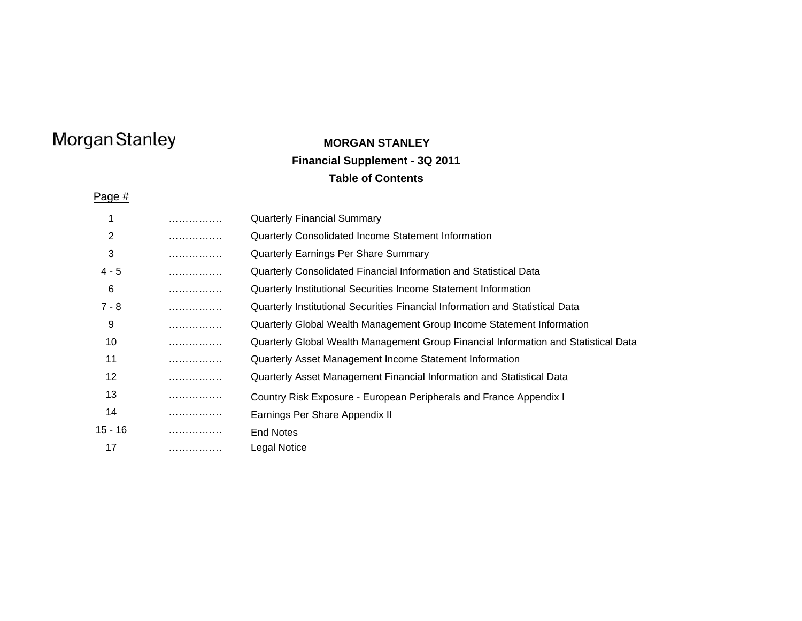## **MORGAN STANLEYFinancial Supplement - 3Q 2011 Table of Contents**

Page #

|         | . | <b>Quarterly Financial Summary</b>                                                  |
|---------|---|-------------------------------------------------------------------------------------|
| 2       | . | Quarterly Consolidated Income Statement Information                                 |
| 3       | . | Quarterly Earnings Per Share Summary                                                |
| $4 - 5$ | . | Quarterly Consolidated Financial Information and Statistical Data                   |
| 6       | . | Quarterly Institutional Securities Income Statement Information                     |
| 7 - 8   | . | Quarterly Institutional Securities Financial Information and Statistical Data       |
| 9       | . | Quarterly Global Wealth Management Group Income Statement Information               |
| 10      | . | Quarterly Global Wealth Management Group Financial Information and Statistical Data |
| 11      | . | Quarterly Asset Management Income Statement Information                             |
| 12      | . | Quarterly Asset Management Financial Information and Statistical Data               |
| 13      | . | Country Risk Exposure - European Peripherals and France Appendix I                  |
| 14      | . | Earnings Per Share Appendix II                                                      |
| 15 - 16 | . | <b>End Notes</b>                                                                    |
| 17      | . | Legal Notice                                                                        |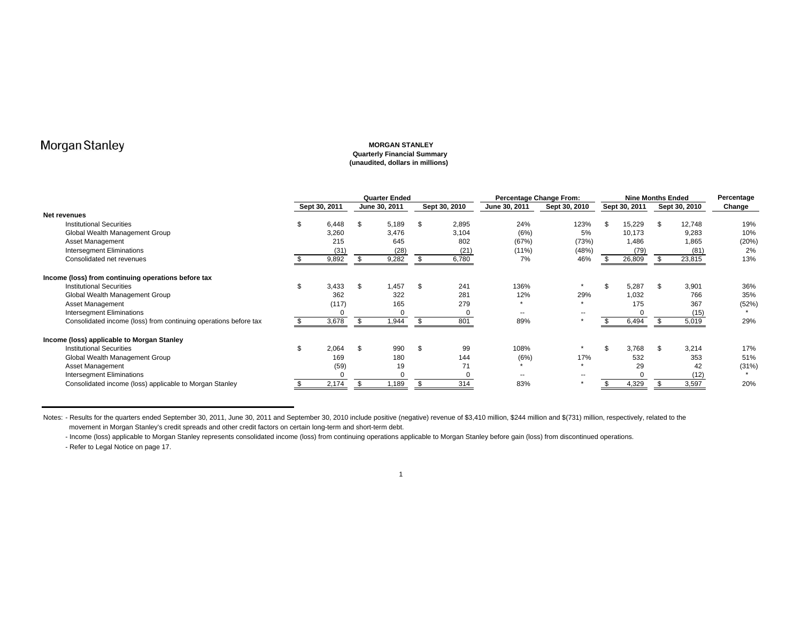#### **MORGAN STANLEY Quarterly Financial Summary (unaudited, dollars in millions)**

|                                                                  |               | <b>Quarter Ended</b> |               |     |               | Percentage Change From: |               |     | <b>Nine Months Ended</b> |     | Percentage    |        |
|------------------------------------------------------------------|---------------|----------------------|---------------|-----|---------------|-------------------------|---------------|-----|--------------------------|-----|---------------|--------|
|                                                                  | Sept 30, 2011 |                      | June 30, 2011 |     | Sept 30, 2010 | June 30, 2011           | Sept 30, 2010 |     | Sept 30, 2011            |     | Sept 30, 2010 | Change |
| Net revenues                                                     |               |                      |               |     |               |                         |               |     |                          |     |               |        |
| <b>Institutional Securities</b>                                  | 6,448         | \$                   | 5,189         | -\$ | 2,895         | 24%                     | 123%          | \$. | 15,229                   | \$  | 12,748        | 19%    |
| Global Wealth Management Group                                   | 3,260         |                      | 3,476         |     | 3,104         | (6%)                    | 5%            |     | 10,173                   |     | 9,283         | 10%    |
| <b>Asset Management</b>                                          | 215           |                      | 645           |     | 802           | (67%)                   | (73%)         |     | 1,486                    |     | 1,865         | (20%   |
| <b>Intersegment Eliminations</b>                                 | (31           |                      | (28)          |     | (21)          | $(11\%)$                | (48%)         |     | (79)                     |     | (81)          | 2%     |
| Consolidated net revenues                                        | 9,892         |                      | 9,282         |     | 6,780         | 7%                      | 46%           |     | 26,809                   |     | 23,815        | 13%    |
| Income (loss) from continuing operations before tax              |               |                      |               |     |               |                         |               |     |                          |     |               |        |
| <b>Institutional Securities</b>                                  | 3,433         | \$.                  | .457          | \$  | 241           | 136%                    | $\star$       | \$  | 5,287                    | \$  | 3,901         | 36%    |
| Global Wealth Management Group                                   | 362           |                      | 322           |     | 281           | 12%                     | 29%           |     | 1,032                    |     | 766           | 35%    |
| <b>Asset Management</b>                                          | (117)         |                      | 165           |     | 279           | $\star$                 |               |     | 175                      |     | 367           | (52%)  |
| <b>Intersegment Eliminations</b>                                 |               |                      |               |     |               | --                      | --            |     |                          |     | (15)          |        |
| Consolidated income (loss) from continuing operations before tax | 3,678         |                      | 1,944         |     | 801           | 89%                     |               |     | 6,494                    |     | 5,019         | 29%    |
| Income (loss) applicable to Morgan Stanley                       |               |                      |               |     |               |                         |               |     |                          |     |               |        |
| <b>Institutional Securities</b>                                  | 2,064         | \$                   | 990           | \$  | 99            | 108%                    |               | \$  | 3,768                    | \$. | 3.214         | 17%    |
| Global Wealth Management Group                                   | 169           |                      | 180           |     | 144           | (6%)                    | 17%           |     | 532                      |     | 353           | 51%    |
| Asset Management                                                 | (59)          |                      | 19            |     | 71            |                         | $\ddot{}$     |     | 29                       |     | 42            | (31%)  |
| <b>Intersegment Eliminations</b>                                 |               |                      |               |     |               | --                      |               |     |                          |     | (12)          |        |
| Consolidated income (loss) applicable to Morgan Stanley          | 2,174         |                      | 1,189         |     | 314           | 83%                     |               |     | 4,329                    |     | 3,597         | 20%    |

Notes: - Results for the quarters ended September 30, 2011, June 30, 2011 and September 30, 2010 include positive (negative) revenue of \$3,410 million, \$244 million and \$(731) million, respectively, related to the movement in Morgan Stanley's credit spreads and other credit factors on certain long-term and short-term debt.

- Income (loss) applicable to Morgan Stanley represents consolidated income (loss) from continuing operations applicable to Morgan Stanley before gain (loss) from discontinued operations. - Refer to Legal Notice on page 17.

1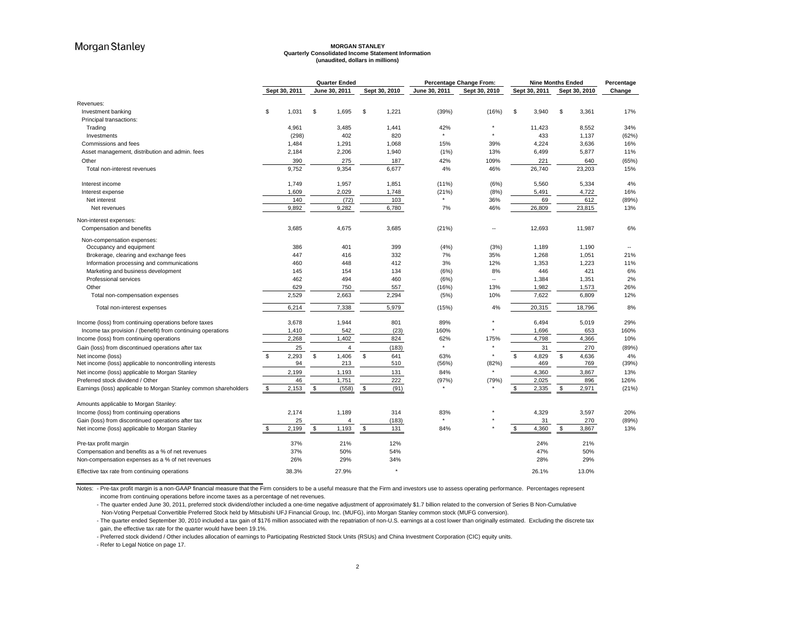#### **MORGAN STANLEY Quarterly Consolidated Income Statement Information (unaudited, dollars in millions)**

|                                                                                                      |               |       | <b>Quarter Ended</b>  |               |               | Percentage Change From: |                | <b>Nine Months Ended</b> |          |               | Percentage |
|------------------------------------------------------------------------------------------------------|---------------|-------|-----------------------|---------------|---------------|-------------------------|----------------|--------------------------|----------|---------------|------------|
|                                                                                                      | Sept 30, 2011 |       | June 30, 2011         | Sept 30, 2010 | June 30, 2011 | Sept 30, 2010           |                | Sept 30, 2011            |          | Sept 30, 2010 | Change     |
| Revenues:                                                                                            |               |       |                       |               |               |                         |                |                          |          |               |            |
| Investment banking                                                                                   | 1.031<br>S    |       | \$<br>1,695           | \$<br>1,221   | (39%)         | (16%)                   | \$             | 3,940                    | \$       | 3,361         | 17%        |
| Principal transactions:                                                                              |               |       |                       |               |               |                         |                |                          |          |               |            |
| Trading                                                                                              | 4,961         |       | 3,485                 | 1,441         | 42%           |                         |                | 11,423                   |          | 8,552         | 34%        |
| Investments                                                                                          |               | (298) | 402                   | 820           |               |                         |                | 433                      |          | 1,137         | (62%)      |
| Commissions and fees                                                                                 | 1,484         |       | 1,291                 | 1,068         | 15%           | 39%                     |                | 4,224                    |          | 3,636         | 16%        |
| Asset management, distribution and admin. fees                                                       | 2,184         |       | 2,206                 | 1,940         | (1%)          | 13%                     |                | 6,499                    |          | 5,877         | 11%        |
| Other                                                                                                |               | 390   | 275                   | 187           | 42%           | 109%                    |                | 221                      |          | 640           | (65%)      |
| Total non-interest revenues                                                                          | 9,752         |       | 9,354                 | 6,677         | 4%            | 46%                     |                | 26,740                   |          | 23,203        | 15%        |
| Interest income                                                                                      | 1,749         |       | 1,957                 | 1,851         | (11%)         | (6%)                    |                | 5,560                    |          | 5,334         | 4%         |
| Interest expense                                                                                     | 1,609         |       | 2,029                 | 1,748         | (21%)         | (8%)                    |                | 5,491                    |          | 4,722         | 16%        |
| Net interest                                                                                         |               | 140   | (72)                  | 103           |               | 36%                     |                | 69                       |          | 612           | (89%)      |
| Net revenues                                                                                         | 9,892         |       | 9,282                 | 6,780         | 7%            | 46%                     |                | 26,809                   |          | 23,815        | 13%        |
| Non-interest expenses:                                                                               |               |       |                       |               |               |                         |                |                          |          |               |            |
| Compensation and benefits                                                                            | 3,685         |       | 4,675                 | 3,685         | (21%)         | н.                      |                | 12,693                   |          | 11,987        | 6%         |
| Non-compensation expenses:                                                                           |               |       |                       |               |               |                         |                |                          |          |               |            |
| Occupancy and equipment                                                                              |               | 386   | 401                   | 399           | (4%)          | (3%)                    |                | 1,189                    |          | 1,190         | $\sim$     |
| Brokerage, clearing and exchange fees                                                                |               | 447   | 416                   | 332           | 7%            | 35%                     |                | 1,268                    |          | 1,051         | 21%        |
| Information processing and communications                                                            |               | 460   | 448                   | 412           | 3%            | 12%                     |                | 1,353                    |          | 1,223         | 11%        |
| Marketing and business development                                                                   |               | 145   | 154                   | 134           | (6%)          | 8%                      |                | 446                      |          | 421           | 6%         |
| Professional services                                                                                |               | 462   | 494                   | 460           | (6%)          | $\sim$                  |                | 1,384                    |          | 1,351         | 2%         |
| Other                                                                                                |               | 629   | 750                   | 557           | (16%)         | 13%                     |                | 1,982                    |          | 1,573         | 26%        |
| Total non-compensation expenses                                                                      | 2,529         |       | 2,663                 | 2,294         | (5%)          | 10%                     |                | 7,622                    |          | 6,809         | 12%        |
| Total non-interest expenses                                                                          | 6,214         |       | 7,338                 | 5,979         | (15%)         | 4%                      |                | 20,315                   |          | 18,796        | 8%         |
| Income (loss) from continuing operations before taxes                                                | 3,678         |       | 1,944                 | 801           | 89%           |                         |                | 6,494                    |          | 5,019         | 29%        |
| Income tax provision / (benefit) from continuing operations                                          | 1,410         |       | 542                   | (23)          | 160%          |                         |                | 1,696                    |          | 653           | 160%       |
| Income (loss) from continuing operations                                                             | 2,268         |       | 1,402                 | 824           | 62%           | 175%                    |                | 4,798                    |          | 4,366         | 10%        |
| Gain (loss) from discontinued operations after tax                                                   |               | 25    | 4                     | (183)         |               |                         |                | 31                       |          | 270           | (89%)      |
| Net income (loss)                                                                                    | \$<br>2,293   |       | $\mathbb{S}$<br>1,406 | \$<br>641     | 63%           |                         | $\mathfrak{L}$ | 4,829                    | \$       | 4,636         | 4%         |
| Net income (loss) applicable to noncontrolling interests                                             |               | 94    | 213                   | 510           | (56%)         | (82%)                   |                | 469                      |          | 769           | (39%)      |
| Net income (loss) applicable to Morgan Stanley                                                       | 2,199         |       | 1,193                 | 131           | 84%           |                         |                | 4,360                    |          | 3,867         | 13%        |
| Preferred stock dividend / Other                                                                     |               | 46    | 1,751                 | 222           | (97%)         | (79%)                   |                | 2,025                    |          | 896           | 126%       |
| Earnings (loss) applicable to Morgan Stanley common shareholders                                     | \$<br>2,153   |       | S.<br>(558)           | \$<br>(91)    |               |                         | \$             | 2,335                    | <b>S</b> | 2,971         | (21%)      |
| Amounts applicable to Morgan Stanley:                                                                |               |       |                       |               |               |                         |                |                          |          |               |            |
| Income (loss) from continuing operations                                                             | 2,174         |       | 1,189                 | 314           | 83%           |                         |                | 4,329                    |          | 3,597         | 20%        |
| Gain (loss) from discontinued operations after tax                                                   |               | 25    | $\overline{4}$        | (183)         |               |                         |                | 31                       |          | 270           | (89%)      |
| Net income (loss) applicable to Morgan Stanley                                                       | 2,199<br>S    |       | 1,193<br>\$           | \$<br>131     | 84%           |                         | \$             | 4,360                    | \$       | 3,867         | 13%        |
|                                                                                                      |               | 37%   | 21%                   | 12%           |               |                         |                | 24%                      |          | 21%           |            |
| Pre-tax profit margin                                                                                | 37%           |       | 50%                   | 54%           |               |                         |                | 47%                      |          | 50%           |            |
| Compensation and benefits as a % of net revenues<br>Non-compensation expenses as a % of net revenues | 26%           |       | 29%                   | 34%           |               |                         |                | 28%                      |          | 29%           |            |
| Effective tax rate from continuing operations                                                        | 38.3%         |       | 27.9%                 | ٠             |               |                         |                | 26.1%                    |          | 13.0%         |            |

Notes: - Pre-tax profit margin is a non-GAAP financial measure that the Firm considers to be a useful measure that the Firm and investors use to assess operating performance. Percentages represent income from continuing operations before income taxes as a percentage of net revenues.

- The quarter ended June 30, 2011, preferred stock dividend/other included a one-time negative adjustment of approximately \$1.7 billion related to the conversion of Series B Non-Cumulative Non-Voting Perpetual Convertible Preferred Stock held by Mitsubishi UFJ Financial Group, Inc. (MUFG), into Morgan Stanley common stock (MUFG conversion).

- The quarter ended September 30, 2010 included a tax gain of \$176 million associated with the repatriation of non-U.S. earnings at a cost lower than originally estimated. Excluding the discrete tax gain, the effective tax rate for the quarter would have been 19.1%.

- Preferred stock dividend / Other includes allocation of earnings to Participating Restricted Stock Units (RSUs) and China Investment Corporation (CIC) equity units.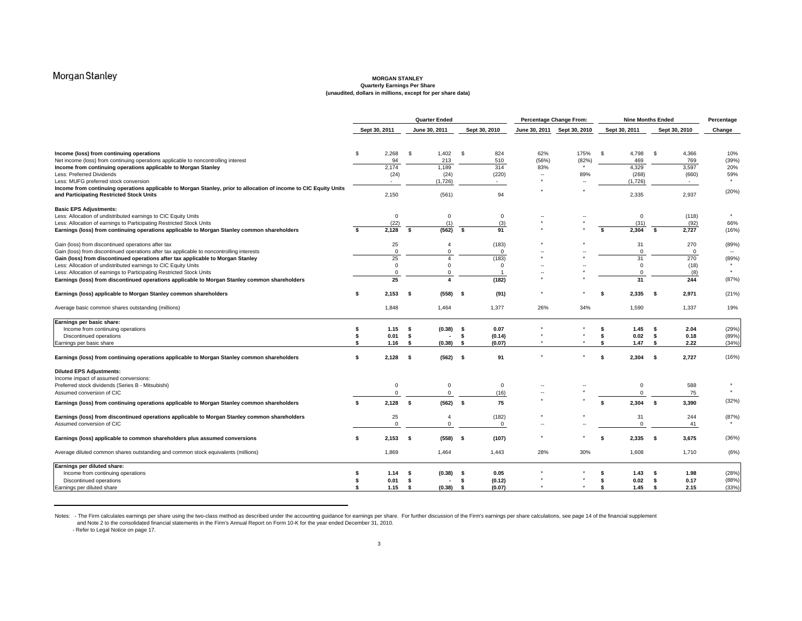#### **MORGAN STANLEY Quarterly Earnings Per Share (unaudited, dollars in millions, except for per share data)**

|                                                                                                                                                                              | <b>Quarter Ended</b> |                            |      |                            |      | Percentage Change From: |               |               | <b>Nine Months Ended</b> |                            |              |                 |         |
|------------------------------------------------------------------------------------------------------------------------------------------------------------------------------|----------------------|----------------------------|------|----------------------------|------|-------------------------|---------------|---------------|--------------------------|----------------------------|--------------|-----------------|---------|
|                                                                                                                                                                              |                      | Sept 30, 2011              |      | June 30, 2011              |      | Sept 30, 2010           | June 30, 2011 | Sept 30, 2010 | Sept 30, 2011            |                            |              | Sept 30, 2010   | Change  |
| Income (loss) from continuing operations                                                                                                                                     | \$                   | 2,268                      | \$   | 1,402                      | \$   | 824                     | 62%           | 175%          | - \$                     | 4,798                      | \$           | 4,366           | 10%     |
| Net income (loss) from continuing operations applicable to noncontrolling interest                                                                                           |                      | 94                         |      | 213                        |      | 510                     | (56%)         | (82%)         |                          | 469                        |              | 769             | (39%)   |
| Income from continuing operations applicable to Morgan Stanley                                                                                                               |                      | 2,174                      |      | 1,189                      |      | 314                     | 83%           |               |                          | 4,329                      |              | 3,597           | 20%     |
| Less: Preferred Dividends                                                                                                                                                    |                      | (24)                       |      | (24)                       |      | (220)                   |               | 89%           |                          | (268)                      |              | (660)           | 59%     |
| Less: MUFG preferred stock conversion                                                                                                                                        |                      |                            |      | (1,726)                    |      |                         |               |               |                          | (1,726)                    |              | $\sim$          | $\star$ |
| Income from continuing operations applicable to Morgan Stanley, prior to allocation of income to CIC Equity Units<br>and Participating Restricted Stock Units                |                      | 2,150                      |      | (561)                      |      | 94                      |               |               |                          | 2,335                      |              | 2,937           | (20%)   |
| <b>Basic EPS Adjustments:</b>                                                                                                                                                |                      |                            |      |                            |      |                         |               |               |                          |                            |              |                 |         |
| Less: Allocation of undistributed earnings to CIC Equity Units                                                                                                               |                      | $\mathbf 0$                |      | $\mathbf 0$                |      | $\mathbf 0$             |               |               |                          | $\mathbf 0$                |              | (118)           | $\star$ |
| Less: Allocation of earnings to Participating Restricted Stock Units                                                                                                         |                      | (22)                       |      | (1)                        |      | (3)                     |               |               |                          | (31)                       |              | (92)            | 66%     |
| Earnings (loss) from continuing operations applicable to Morgan Stanley common shareholders                                                                                  | \$.                  | 2,128                      | -S   | (562)                      | -S   | 91                      |               |               | s.                       | 2.304                      | - \$         | 2,727           | (16%)   |
| Gain (loss) from discontinued operations after tax                                                                                                                           |                      | 25<br>$\Omega$             |      | $\overline{4}$<br>$\Omega$ |      | (183)<br>$\mathbf 0$    |               |               |                          | 31<br>$\Omega$             |              | 270<br>$\Omega$ | (89%)   |
| Gain (loss) from discontinued operations after tax applicable to noncontrolling interests<br>Gain (loss) from discontinued operations after tax applicable to Morgan Stanley |                      | 25                         |      | $\overline{4}$             |      | (183)                   |               |               |                          | 31                         |              | 270             | (89%)   |
| Less: Allocation of undistributed earnings to CIC Equity Units                                                                                                               |                      | $\mathbf 0$                |      | $\overline{0}$             |      | $\mathbf 0$             |               |               |                          | $\mathbf 0$                |              | (18)            |         |
| Less: Allocation of earnings to Participating Restricted Stock Units                                                                                                         |                      | $\Omega$                   |      | $\Omega$                   |      |                         |               |               |                          | $\mathbf 0$                |              | (8)             | $\star$ |
| Earnings (loss) from discontinued operations applicable to Morgan Stanley common shareholders                                                                                |                      | 25                         |      | 4                          |      | (182)                   |               |               |                          | 31                         |              | 244             | (87%)   |
| Earnings (loss) applicable to Morgan Stanley common shareholders                                                                                                             | s.                   | $2,153$ \$                 |      | $(558)$ \$                 |      | (91)                    |               |               | \$.                      | 2,335                      | - \$         | 2,971           | (21%)   |
| Average basic common shares outstanding (millions)                                                                                                                           |                      | 1,848                      |      | 1,464                      |      | 1,377                   | 26%           | 34%           |                          | 1,590                      |              | 1,337           | 19%     |
| Earnings per basic share:                                                                                                                                                    |                      |                            |      |                            |      |                         |               |               |                          |                            |              |                 |         |
| Income from continuing operations                                                                                                                                            | \$                   | 1.15                       | - \$ | (0.38)                     | - \$ | 0.07                    |               |               | \$                       | 1.45                       | - \$         | 2.04            | (29%)   |
| Discontinued operations                                                                                                                                                      | s.                   | 0.01                       | \$   | $\sim$                     | \$   | (0.14)                  |               |               | \$                       | 0.02                       | - \$         | 0.18            | (89%)   |
| Earnings per basic share                                                                                                                                                     | -\$                  | 1.16                       | ŝ.   | $(0.38)$ \$                |      | (0.07)                  |               |               | \$                       | 1.47                       | - \$         | 2.22            | (34%)   |
| Earnings (loss) from continuing operations applicable to Morgan Stanley common shareholders                                                                                  | s.                   | $2,128$ \$                 |      | $(562)$ \$                 |      | 91                      |               |               | \$                       | 2,304                      | - \$         | 2,727           | (16%)   |
| <b>Diluted EPS Adjustments:</b>                                                                                                                                              |                      |                            |      |                            |      |                         |               |               |                          |                            |              |                 |         |
| Income impact of assumed conversions:                                                                                                                                        |                      |                            |      |                            |      |                         |               |               |                          |                            |              |                 |         |
| Preferred stock dividends (Series B - Mitsubishi)<br>Assumed conversion of CIC                                                                                               |                      | $\mathbf 0$<br>$\mathsf 0$ |      | $\mathbf 0$<br>$\mathbf 0$ |      | $\mathbf 0$<br>(16)     |               |               |                          | $\mathbf 0$<br>$\mathbf 0$ |              | 588             | $\star$ |
|                                                                                                                                                                              |                      |                            |      |                            |      |                         |               |               |                          |                            |              | 75              |         |
| Earnings (loss) from continuing operations applicable to Morgan Stanley common shareholders                                                                                  | s.                   | $2,128$ \$                 |      | $(562)$ \$                 |      | 75                      |               |               | s.                       | 2,304                      | $\mathbf{s}$ | 3,390           | (32%)   |
| Earnings (loss) from discontinued operations applicable to Morgan Stanley common shareholders                                                                                |                      | 25                         |      | $\overline{4}$             |      | (182)                   |               |               |                          | 31                         |              | 244             | (87%)   |
| Assumed conversion of CIC                                                                                                                                                    |                      | $\mathbf 0$                |      | $\mathbf 0$                |      | $\mathbf 0$             |               |               |                          | $\mathbf 0$                |              | 41              |         |
| Earnings (loss) applicable to common shareholders plus assumed conversions                                                                                                   | s.                   | $2,153$ \$                 |      | $(558)$ \$                 |      | (107)                   |               |               | S                        | 2,335                      | - \$         | 3,675           | (36%)   |
| Average diluted common shares outstanding and common stock equivalents (millions)                                                                                            |                      | 1,869                      |      | 1,464                      |      | 1,443                   | 28%           | 30%           |                          | 1,608                      |              | 1,710           | (6%)    |
| Earnings per diluted share:                                                                                                                                                  |                      |                            |      |                            |      |                         |               |               |                          |                            |              |                 |         |
| Income from continuing operations                                                                                                                                            | S.                   | 1.14                       | -S   | (0.38)                     | - \$ | 0.05                    |               |               |                          | 1.43                       | s.           | 1.98            | (28%)   |
| Discontinued operations                                                                                                                                                      | S.                   | 0.01                       | -S   |                            | \$   | (0.12)                  |               |               | \$                       | 0.02                       | - \$         | 0.17            | (88%)   |
| Earnings per diluted share                                                                                                                                                   | \$                   | 1.15                       | s    | $(0.38)$ \$                |      | (0.07)                  |               |               | \$.                      | 1.45                       | \$           | 2.15            | (33%)   |

Notes: -The Firm calculates earnings per share using the two-class method as described under the accounting guidance for earnings per share. For further discussion of the Firm's earnings per share calculations, see page 14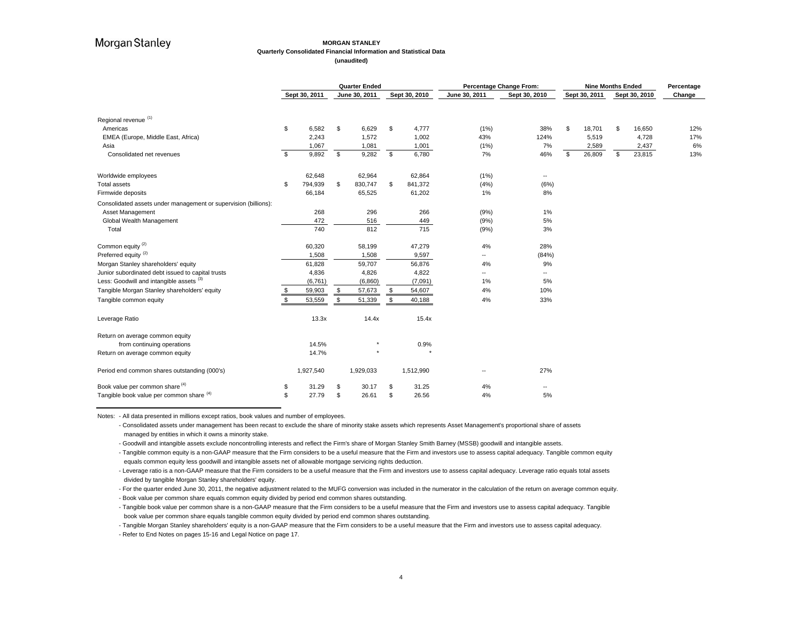#### **MORGAN STANLEY Quarterly Consolidated Financial Information and Statistical Data (unaudited)**

|                                                                 | <b>Quarter Ended</b> |                |    | Percentage Change From: | <b>Nine Months Ended</b> | Percentage    |               |                          |               |                |               |        |
|-----------------------------------------------------------------|----------------------|----------------|----|-------------------------|--------------------------|---------------|---------------|--------------------------|---------------|----------------|---------------|--------|
|                                                                 |                      | Sept 30, 2011  |    | June 30, 2011           |                          | Sept 30, 2010 | June 30, 2011 | Sept 30, 2010            | Sept 30, 2011 |                | Sept 30, 2010 | Change |
|                                                                 |                      |                |    |                         |                          |               |               |                          |               |                |               |        |
| Regional revenue <sup>(1)</sup>                                 |                      |                |    |                         |                          |               |               |                          |               |                |               |        |
| Americas                                                        | \$                   | 6,582          | \$ | 6,629                   | \$                       | 4,777         | (1%)          | 38%                      | \$<br>18,701  | $\mathfrak{s}$ | 16,650        | 12%    |
| EMEA (Europe, Middle East, Africa)                              |                      | 2,243          |    | 1,572                   |                          | 1,002         | 43%           | 124%                     | 5,519         |                | 4,728         | 17%    |
| Asia                                                            |                      | 1,067<br>9,892 |    | 1,081                   |                          | 1,001         | (1%)          | 7%                       | 2,589         |                | 2,437         | 6%     |
| Consolidated net revenues                                       | \$                   |                | \$ | 9,282                   | \$                       | 6,780         | 7%            | 46%                      | \$<br>26,809  | \$             | 23,815        | 13%    |
| Worldwide employees                                             |                      | 62,648         |    | 62,964                  |                          | 62,864        | (1%)          | $\overline{\phantom{a}}$ |               |                |               |        |
| <b>Total assets</b>                                             | \$                   | 794,939        | \$ | 830,747                 | \$                       | 841,372       | (4%)          | (6%)                     |               |                |               |        |
| Firmwide deposits                                               |                      | 66,184         |    | 65,525                  |                          | 61,202        | $1\%$         | 8%                       |               |                |               |        |
| Consolidated assets under management or supervision (billions): |                      |                |    |                         |                          |               |               |                          |               |                |               |        |
| Asset Management                                                |                      | 268            |    | 296                     |                          | 266           | (9%)          | 1%                       |               |                |               |        |
| Global Wealth Management                                        |                      | 472            |    | 516                     |                          | 449           | (9% )         | 5%                       |               |                |               |        |
| Total                                                           |                      | 740            |    | 812                     |                          | 715           | (9%)          | 3%                       |               |                |               |        |
| Common equity <sup>(2)</sup>                                    |                      | 60,320         |    | 58,199                  |                          | 47,279        | 4%            | 28%                      |               |                |               |        |
| Preferred equity <sup>(2)</sup>                                 |                      | 1,508          |    | 1,508                   |                          | 9,597         |               | (84%)                    |               |                |               |        |
| Morgan Stanley shareholders' equity                             |                      | 61,828         |    | 59,707                  |                          | 56,876        | 4%            | 9%                       |               |                |               |        |
| Junior subordinated debt issued to capital trusts               |                      | 4,836          |    | 4,826                   |                          | 4,822         | --            | $\overline{\phantom{a}}$ |               |                |               |        |
| Less: Goodwill and intangible assets (3)                        |                      | (6, 761)       |    | (6,860)                 |                          | (7,091)       | $1\%$         | 5%                       |               |                |               |        |
| Tangible Morgan Stanley shareholders' equity                    | \$                   | 59,903         | \$ | 57,673                  | \$                       | 54,607        | 4%            | 10%                      |               |                |               |        |
| Tangible common equity                                          | \$                   | 53,559         | \$ | 51,339                  | \$                       | 40,188        | 4%            | 33%                      |               |                |               |        |
| Leverage Ratio                                                  |                      | 13.3x          |    | 14.4x                   |                          | 15.4x         |               |                          |               |                |               |        |
| Return on average common equity                                 |                      |                |    |                         |                          |               |               |                          |               |                |               |        |
| from continuing operations                                      |                      | 14.5%          |    |                         |                          | 0.9%          |               |                          |               |                |               |        |
| Return on average common equity                                 |                      | 14.7%          |    |                         |                          |               |               |                          |               |                |               |        |
| Period end common shares outstanding (000's)                    |                      | 1,927,540      |    | 1,929,033               |                          | 1,512,990     |               | 27%                      |               |                |               |        |
| Book value per common share (4)                                 | \$                   | 31.29          | \$ | 30.17                   |                          | 31.25         | 4%            | $\overline{\phantom{a}}$ |               |                |               |        |
| Tangible book value per common share (4)                        | \$                   | 27.79          | \$ | 26.61                   | \$.                      | 26.56         | 4%            | 5%                       |               |                |               |        |

Notes: - All data presented in millions except ratios, book values and number of employees.

- Consolidated assets under management has been recast to exclude the share of minority stake assets which represents Asset Management's proportional share of assets managed by entities in which it owns a minority stake.

- Goodwill and intangible assets exclude noncontrolling interests and reflect the Firm's share of Morgan Stanley Smith Barney (MSSB) goodwill and intangible assets.

- Tangible common equity is a non-GAAP measure that the Firm considers to be a useful measure that the Firm and investors use to assess capital adequacy. Tangible common equity equals common equity less goodwill and intangible assets net of allowable mortgage servicing rights deduction.

- Leverage ratio is a non-GAAP measure that the Firm considers to be a useful measure that the Firm and investors use to assess capital adequacy. Leverage ratio equals total assets divided by tangible Morgan Stanley shareholders' equity.

- For the quarter ended June 30, 2011, the negative adjustment related to the MUFG conversion was included in the numerator in the calculation of the return on average common equity. - Book value per common share equals common equity divided by period end common shares outstanding.

- Tangible book value per common share is a non-GAAP measure that the Firm considers to be a useful measure that the Firm and investors use to assess capital adequacy. Tangible book value per common share equals tangible common equity divided by period end common shares outstanding.

- Tangible Morgan Stanley shareholders' equity is a non-GAAP measure that the Firm considers to be a useful measure that the Firm and investors use to assess capital adequacy. - Refer to End Notes on pages 15-16 and Legal Notice on page 17.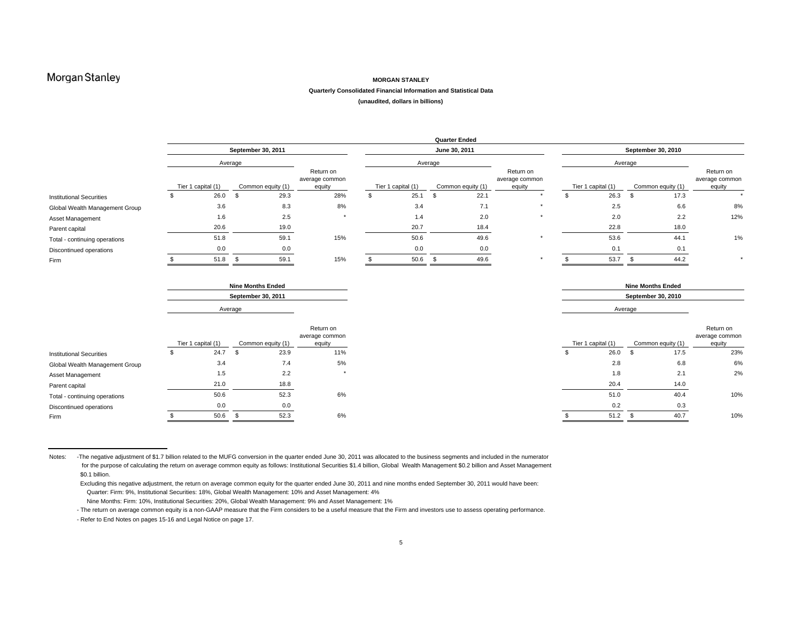#### **MORGAN STANLEY**

#### **Quarterly Consolidated Financial Information and Statistical Data**

**(unaudited, dollars in billions)**

|                                 |                    |                          |                                       |                    | <b>Quarter Ended</b> |                                       |                    |                          |                   |                                       |
|---------------------------------|--------------------|--------------------------|---------------------------------------|--------------------|----------------------|---------------------------------------|--------------------|--------------------------|-------------------|---------------------------------------|
|                                 |                    | September 30, 2011       |                                       |                    | June 30, 2011        |                                       |                    | September 30, 2010       |                   |                                       |
|                                 |                    | Average                  |                                       |                    | Average              |                                       |                    | Average                  |                   |                                       |
|                                 | Tier 1 capital (1) | Common equity (1)        | Return on<br>average common<br>equity | Tier 1 capital (1) | Common equity (1)    | Return on<br>average common<br>equity | Tier 1 capital (1) |                          | Common equity (1) | Return on<br>average common<br>equity |
| <b>Institutional Securities</b> | 26.0               | 29.3<br>\$               | 28%                                   | 25.1               | 22.1<br>\$           |                                       | 26.3               | - S                      | 17.3              |                                       |
| Global Wealth Management Group  | 3.6                | 8.3                      | 8%                                    | 3.4                |                      | 7.1<br>$\star$                        | 2.5                |                          | 6.6               | 8%                                    |
| Asset Management                | 1.6                | 2.5                      | $\star$                               | 1.4                | 2.0                  | $\star$                               | 2.0                |                          | 2.2               | 12%                                   |
| Parent capital                  | 20.6               | 19.0                     |                                       | 20.7               | 18.4                 |                                       | 22.8               |                          | 18.0              |                                       |
| Total - continuing operations   | 51.8               | 59.1                     | 15%                                   | 50.6               | 49.6                 |                                       | 53.6               |                          | 44.1              | 1%                                    |
| Discontinued operations         | 0.0                | 0.0                      |                                       | 0.0                | 0.0                  |                                       | 0.1                |                          | 0.1               |                                       |
| Firm                            | 51.8               | 59.1<br>- 35             | 15%                                   | 50.6               | 49.6<br>- \$         |                                       | 53.7               |                          | 44.2              | $\star$                               |
|                                 |                    | <b>Nine Months Ended</b> |                                       |                    |                      |                                       |                    | <b>Nine Months Ended</b> |                   |                                       |
|                                 |                    | September 30, 2011       |                                       |                    |                      |                                       |                    | September 30, 2010       |                   |                                       |
|                                 |                    | Average                  |                                       |                    |                      |                                       |                    | Average                  |                   |                                       |

|                                 |                    |                   | Return on<br>average common |                    |                   | Return on<br>average common |
|---------------------------------|--------------------|-------------------|-----------------------------|--------------------|-------------------|-----------------------------|
|                                 | Tier 1 capital (1) | Common equity (1) | equity                      | Tier 1 capital (1) | Common equity (1) | equity                      |
| <b>Institutional Securities</b> | 24.7               | 23.9              | 11%                         | 26.0               | 17.5              | 23%                         |
| Global Wealth Management Group  | 3.4                | 7.4               | 5%                          | 2.8                | 6.8               | 6%                          |
| Asset Management                | 1.5                | 2.2               |                             | 1.8                | 2.1               | 2%                          |
| Parent capital                  | 21.0               | 18.8              |                             | 20.4               | 14.0              |                             |
| Total - continuing operations   | 50.6               | 52.3              | 6%                          | 51.0               | 40.4              | 10%                         |
| Discontinued operations         | 0.0                | 0.0               |                             | 0.2                | 0.3               |                             |
| Firm                            | 50.6               | 52.3              | 6%                          | 51.2               | 40.7              | 10%                         |
|                                 |                    |                   |                             |                    |                   |                             |

Notes: - The negative adjustment of \$1.7 billion related to the MUFG conversion in the quarter ended June 30, 2011 was allocated to the business segments and included in the numerator for the purpose of calculating the return on average common equity as follows: Institutional Securities \$1.4 billion, Global Wealth Management \$0.2 billion and Asset Management \$0.1 billion.

 Excluding this negative adjustment, the return on average common equity for the quarter ended June 30, 2011 and nine months ended September 30, 2011 would have been: Quarter: Firm: 9%, Institutional Securities: 18%, Global Wealth Management: 10% and Asset Management: 4%

Nine Months: Firm: 10%, Institutional Securities: 20%, Global Wealth Management: 9% and Asset Management: 1%

- The return on average common equity is a non-GAAP measure that the Firm considers to be a useful measure that the Firm and investors use to assess operating performance. - Refer to End Notes on pages 15-16 and Legal Notice on page 17.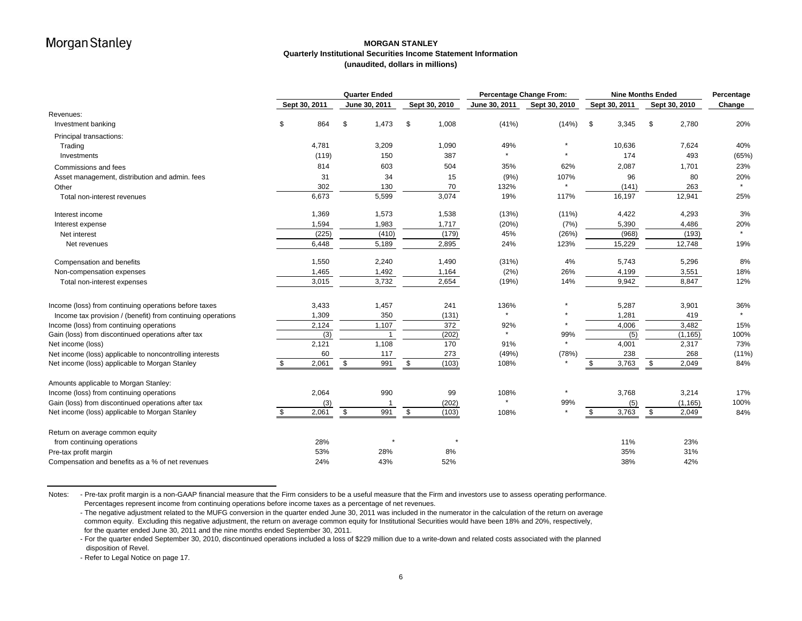### **MORGAN STANLEYQuarterly Institutional Securities Income Statement Information (unaudited, dollars in millions)**

|                                                             | <b>Quarter Ended</b> |               |               |               | <b>Percentage Change From:</b> |               | <b>Nine Months Ended</b> | Percentage    |               |              |               |        |
|-------------------------------------------------------------|----------------------|---------------|---------------|---------------|--------------------------------|---------------|--------------------------|---------------|---------------|--------------|---------------|--------|
|                                                             |                      | Sept 30, 2011 |               | June 30, 2011 |                                | Sept 30, 2010 | June 30, 2011            | Sept 30, 2010 | Sept 30, 2011 |              | Sept 30, 2010 | Change |
| Revenues:                                                   |                      |               |               |               |                                |               |                          |               |               |              |               |        |
| Investment banking                                          | \$                   | 864           | \$            | 1,473         | \$                             | 1,008         | (41%)                    | (14%)         | \$<br>3,345   | \$           | 2,780         | 20%    |
| Principal transactions:                                     |                      |               |               |               |                                |               |                          |               |               |              |               |        |
| Trading                                                     |                      | 4,781         |               | 3,209         |                                | 1,090         | 49%                      |               | 10,636        |              | 7,624         | 40%    |
| Investments                                                 |                      | (119)         |               | 150           |                                | 387           |                          |               | 174           |              | 493           | (65%)  |
| Commissions and fees                                        |                      | 814           |               | 603           |                                | 504           | 35%                      | 62%           | 2,087         |              | 1,701         | 23%    |
| Asset management, distribution and admin. fees              |                      | 31            |               | 34            |                                | 15            | (9% )                    | 107%          | 96            |              | 80            | 20%    |
| Other                                                       |                      | 302           |               | 130           |                                | 70            | 132%                     |               | (141)         |              | 263           |        |
| Total non-interest revenues                                 |                      | 6,673         |               | 5,599         |                                | 3,074         | 19%                      | 117%          | 16,197        |              | 12,941        | 25%    |
| Interest income                                             |                      | 1,369         |               | 1,573         |                                | 1,538         | (13%)                    | $(11\%)$      | 4,422         |              | 4,293         | 3%     |
| Interest expense                                            |                      | 1,594         |               | 1,983         |                                | 1,717         | (20%)                    | (7%)          | 5,390         |              | 4,486         | 20%    |
| Net interest                                                |                      | (225)         |               | (410)         |                                | (179)         | 45%                      | (26%)         | (968)         |              | (193)         |        |
| Net revenues                                                |                      | 6,448         |               | 5,189         |                                | 2,895         | 24%                      | 123%          | 15,229        |              | 12,748        | 19%    |
| Compensation and benefits                                   |                      | 1,550         |               | 2,240         |                                | 1,490         | (31%)                    | 4%            | 5,743         |              | 5,296         | 8%     |
| Non-compensation expenses                                   |                      | 1,465         |               | 1,492         |                                | 1,164         | (2%)                     | 26%           | 4,199         |              | 3,551         | 18%    |
| Total non-interest expenses                                 |                      | 3,015         |               | 3,732         |                                | 2,654         | (19%)                    | 14%           | 9,942         |              | 8,847         | 12%    |
| Income (loss) from continuing operations before taxes       |                      | 3,433         |               | 1,457         |                                | 241           | 136%                     |               | 5,287         |              | 3,901         | 36%    |
| Income tax provision / (benefit) from continuing operations |                      | 1,309         |               | 350           |                                | (131)         |                          |               | 1,281         |              | 419           |        |
| Income (loss) from continuing operations                    |                      | 2,124         |               | 1,107         |                                | 372           | 92%                      |               | 4,006         |              | 3,482         | 15%    |
| Gain (loss) from discontinued operations after tax          |                      | (3)           |               |               |                                | (202)         |                          | 99%           | (5)           |              | (1, 165)      | 100%   |
| Net income (loss)                                           |                      | 2,121         |               | 1,108         |                                | 170           | 91%                      |               | 4,001         |              | 2,317         | 73%    |
| Net income (loss) applicable to noncontrolling interests    |                      | 60            |               | 117           |                                | 273           | (49%)                    | (78%)         | 238           |              | 268           | (11%)  |
| Net income (loss) applicable to Morgan Stanley              | - \$                 | 2,061         | $\sqrt[6]{3}$ | 991           | \$                             | (103)         | 108%                     |               | 3,763<br>\$   | $\mathbb{S}$ | 2,049         | 84%    |
| Amounts applicable to Morgan Stanley:                       |                      |               |               |               |                                |               |                          |               |               |              |               |        |
| Income (loss) from continuing operations                    |                      | 2,064         |               | 990           |                                | 99            | 108%                     | $\star$       | 3,768         |              | 3,214         | 17%    |
| Gain (loss) from discontinued operations after tax          |                      | (3)           |               |               |                                | (202)         |                          | 99%           | (5)           |              | (1, 165)      | 100%   |
| Net income (loss) applicable to Morgan Stanley              | \$                   | 2,061         | \$            | 991           | \$                             | (103)         | 108%                     |               | 3,763<br>\$   | \$           | 2,049         | 84%    |
| Return on average common equity                             |                      |               |               |               |                                |               |                          |               |               |              |               |        |
| from continuing operations                                  |                      | 28%           |               |               |                                | $\star$       |                          |               | 11%           |              | 23%           |        |
| Pre-tax profit margin                                       |                      | 53%           |               | 28%           |                                | 8%            |                          |               | 35%           |              | 31%           |        |
| Compensation and benefits as a % of net revenues            |                      | 24%           |               | 43%           |                                | 52%           |                          |               | 38%           |              | 42%           |        |

Notes: - Pre-tax profit margin is a non-GAAP financial measure that the Firm considers to be a useful measure that the Firm and investors use to assess operating performance. Percentages represent income from continuing operations before income taxes as a percentage of net revenues.

- The negative adjustment related to the MUFG conversion in the quarter ended June 30, 2011 was included in the numerator in the calculation of the return on average common equity. Excluding this negative adjustment, the return on average common equity for Institutional Securities would have been 18% and 20%, respectively, for the quarter ended June 30, 2011 and the nine months ended September 30, 2011.

- For the quarter ended September 30, 2010, discontinued operations included a loss of \$229 million due to a write-down and related costs associated with the planned disposition of Revel.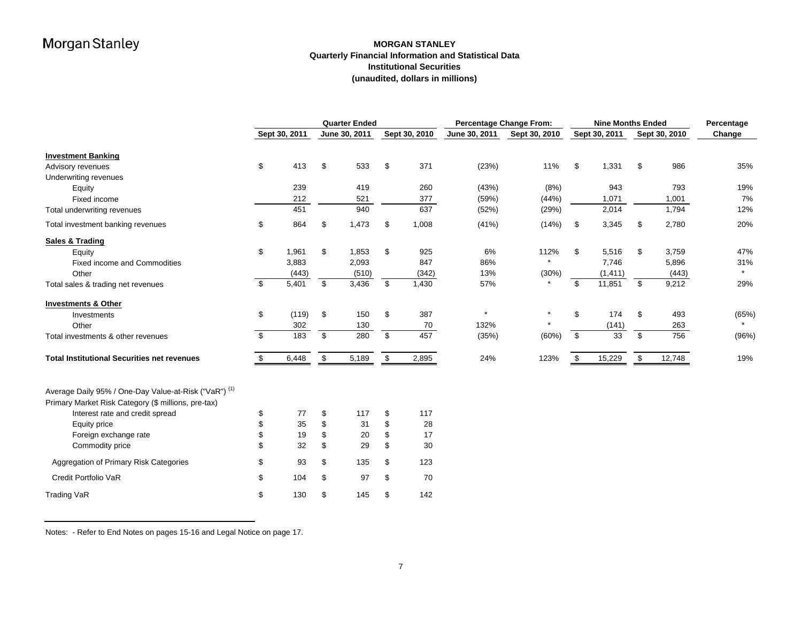### **MORGAN STANLEY Quarterly Financial Information and Statistical Data Institutional Securities(unaudited, dollars in millions)**

|                                                       |                | <b>Quarter Ended</b> |               |               |               |               | <b>Percentage Change From:</b> |               |    |               | <b>Nine Months Ended</b> |               |         |  |
|-------------------------------------------------------|----------------|----------------------|---------------|---------------|---------------|---------------|--------------------------------|---------------|----|---------------|--------------------------|---------------|---------|--|
|                                                       |                | Sept 30, 2011        |               | June 30, 2011 |               | Sept 30, 2010 | June 30, 2011                  | Sept 30, 2010 |    | Sept 30, 2011 |                          | Sept 30, 2010 | Change  |  |
| <b>Investment Banking</b>                             |                |                      |               |               |               |               |                                |               |    |               |                          |               |         |  |
| Advisory revenues                                     | \$             | 413                  | \$            | 533           | \$            | 371           | (23%)                          | 11%           | \$ | 1,331         | \$                       | 986           | 35%     |  |
| Underwriting revenues                                 |                |                      |               |               |               |               |                                |               |    |               |                          |               |         |  |
| Equity                                                |                | 239                  |               | 419           |               | 260           | (43%)                          | (8%)          |    | 943           |                          | 793           | 19%     |  |
| Fixed income                                          |                | 212                  |               | 521           |               | 377           | (59%)                          | (44%)         |    | 1,071         |                          | 1,001         | 7%      |  |
| Total underwriting revenues                           |                | 451                  |               | 940           |               | 637           | (52%)                          | (29%)         |    | 2,014         |                          | 1,794         | 12%     |  |
| Total investment banking revenues                     | \$             | 864                  | \$            | 1,473         | \$            | 1,008         | (41%)                          | (14%)         | \$ | 3,345         | \$                       | 2,780         | 20%     |  |
| <b>Sales &amp; Trading</b>                            |                |                      |               |               |               |               |                                |               |    |               |                          |               |         |  |
| Equity                                                | \$             | 1,961                | \$            | 1,853         | \$            | 925           | 6%                             | 112%          | \$ | 5,516         | \$                       | 3,759         | 47%     |  |
| <b>Fixed income and Commodities</b>                   |                | 3,883                |               | 2,093         |               | 847           | 86%                            |               |    | 7,746         |                          | 5,896         | 31%     |  |
| Other                                                 |                | (443)                |               | (510)         |               | (342)         | 13%                            | (30%)         |    | (1, 411)      |                          | (443)         | $\star$ |  |
| Total sales & trading net revenues                    | \$             | 5,401                | \$            | 3,436         | \$            | 1,430         | 57%                            | $\star$       | \$ | 11,851        | \$                       | 9,212         | 29%     |  |
| <b>Investments &amp; Other</b>                        |                |                      |               |               |               |               |                                |               |    |               |                          |               |         |  |
| Investments                                           | \$             | (119)                | \$            | 150           | \$            | 387           |                                | $\star$       | \$ | 174           | \$                       | 493           | (65%)   |  |
| Other                                                 |                | 302                  |               | 130           |               | 70            | 132%                           |               |    | (141)         |                          | 263           | $\star$ |  |
| Total investments & other revenues                    | $\mathfrak{L}$ | 183                  | $\mathfrak s$ | 280           | $\sqrt[6]{2}$ | 457           | (35%)                          | (60%)         | \$ | 33            | $\mathfrak{S}$           | 756           | (96%)   |  |
| <b>Total Institutional Securities net revenues</b>    | \$             | 6,448                | \$            | 5,189         | \$            | 2,895         | 24%                            | 123%          | \$ | 15,229        | \$                       | 12,748        | 19%     |  |
| Average Daily 95% / One-Day Value-at-Risk ("VaR") (1) |                |                      |               |               |               |               |                                |               |    |               |                          |               |         |  |
| Primary Market Risk Category (\$ millions, pre-tax)   |                |                      |               |               |               |               |                                |               |    |               |                          |               |         |  |
| Interest rate and credit spread                       | \$             | 77                   | \$            | 117           | \$            | 117           |                                |               |    |               |                          |               |         |  |
| Equity price                                          | \$             | 35                   | \$            | 31            | \$            | 28            |                                |               |    |               |                          |               |         |  |
| Foreign exchange rate                                 | \$.            | 19                   | \$.           | 20            | \$            | 17            |                                |               |    |               |                          |               |         |  |
| Commodity price                                       | \$             | 32                   | \$            | 29            | \$            | 30            |                                |               |    |               |                          |               |         |  |
| Aggregation of Primary Risk Categories                | \$             | 93                   | \$            | 135           | \$            | 123           |                                |               |    |               |                          |               |         |  |
| Credit Portfolio VaR                                  | \$             | 104                  | \$            | 97            | \$            | 70            |                                |               |    |               |                          |               |         |  |
| <b>Trading VaR</b>                                    | \$             | 130                  | \$.           | 145           | \$            | 142           |                                |               |    |               |                          |               |         |  |

Notes: - Refer to End Notes on pages 15-16 and Legal Notice on page 17.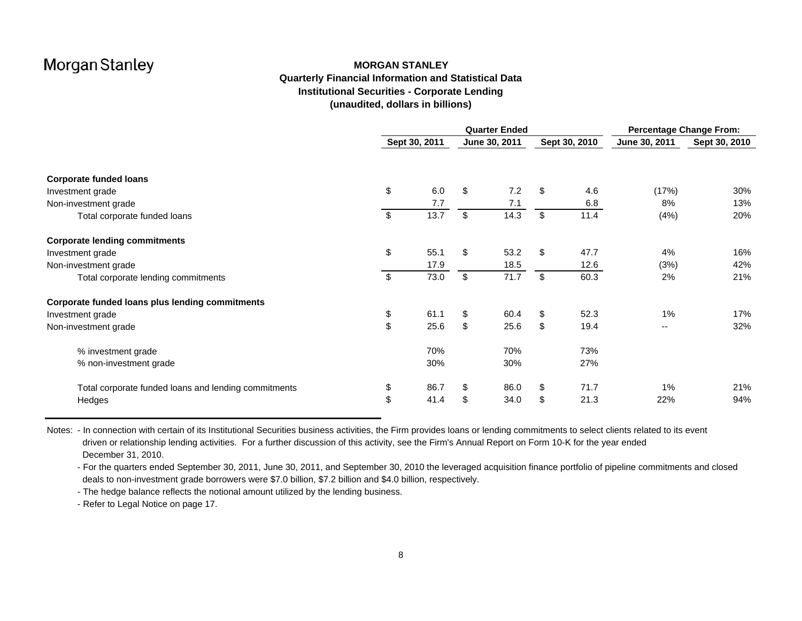### **MORGAN STANLEYQuarterly Financial Information and Statistical Data Institutional Securities - Corporate Lending (unaudited, dollars in billions)**

|                                                      | <b>Quarter Ended</b> |      |    |               |    |               | <b>Percentage Change From:</b> |               |  |  |
|------------------------------------------------------|----------------------|------|----|---------------|----|---------------|--------------------------------|---------------|--|--|
|                                                      | Sept 30, 2011        |      |    | June 30, 2011 |    | Sept 30, 2010 | June 30, 2011                  | Sept 30, 2010 |  |  |
|                                                      |                      |      |    |               |    |               |                                |               |  |  |
| <b>Corporate funded loans</b>                        |                      |      |    |               |    |               |                                |               |  |  |
| Investment grade                                     | \$                   | 6.0  | \$ | 7.2           | \$ | 4.6           | (17%)                          | 30%           |  |  |
| Non-investment grade                                 |                      | 7.7  |    | 7.1           |    | 6.8           | 8%                             | 13%           |  |  |
| Total corporate funded loans                         | \$                   | 13.7 | \$ | 14.3          | \$ | 11.4          | (4%)                           | 20%           |  |  |
| <b>Corporate lending commitments</b>                 |                      |      |    |               |    |               |                                |               |  |  |
| Investment grade                                     | \$                   | 55.1 | \$ | 53.2          | \$ | 47.7          | 4%                             | 16%           |  |  |
| Non-investment grade                                 |                      | 17.9 |    | 18.5          |    | 12.6          | (3%)                           | 42%           |  |  |
| Total corporate lending commitments                  | \$                   | 73.0 | \$ | 71.7          | \$ | 60.3          | 2%                             | 21%           |  |  |
| Corporate funded loans plus lending commitments      |                      |      |    |               |    |               |                                |               |  |  |
| Investment grade                                     | \$                   | 61.1 | \$ | 60.4          | \$ | 52.3          | 1%                             | 17%           |  |  |
| Non-investment grade                                 | \$                   | 25.6 | \$ | 25.6          | \$ | 19.4          | --                             | 32%           |  |  |
| % investment grade                                   |                      | 70%  |    | 70%           |    | 73%           |                                |               |  |  |
| % non-investment grade                               |                      | 30%  |    | 30%           |    | 27%           |                                |               |  |  |
| Total corporate funded loans and lending commitments | \$                   | 86.7 | \$ | 86.0          | \$ | 71.7          | 1%                             | 21%           |  |  |
| Hedges                                               | \$                   | 41.4 | \$ | 34.0          | \$ | 21.3          | 22%                            | 94%           |  |  |

Notes: - In connection with certain of its Institutional Securities business activities, the Firm provides loans or lending commitments to select clients related to its event driven or relationship lending activities. For a further discussion of this activity, see the Firm's Annual Report on Form 10-K for the year ended December 31, 2010.

- For the quarters ended September 30, 2011, June 30, 2011, and September 30, 2010 the leveraged acquisition finance portfolio of pipeline commitments and closed deals to non-investment grade borrowers were \$7.0 billion, \$7.2 billion and \$4.0 billion, respectively.

- The hedge balance reflects the notional amount utilized by the lending business.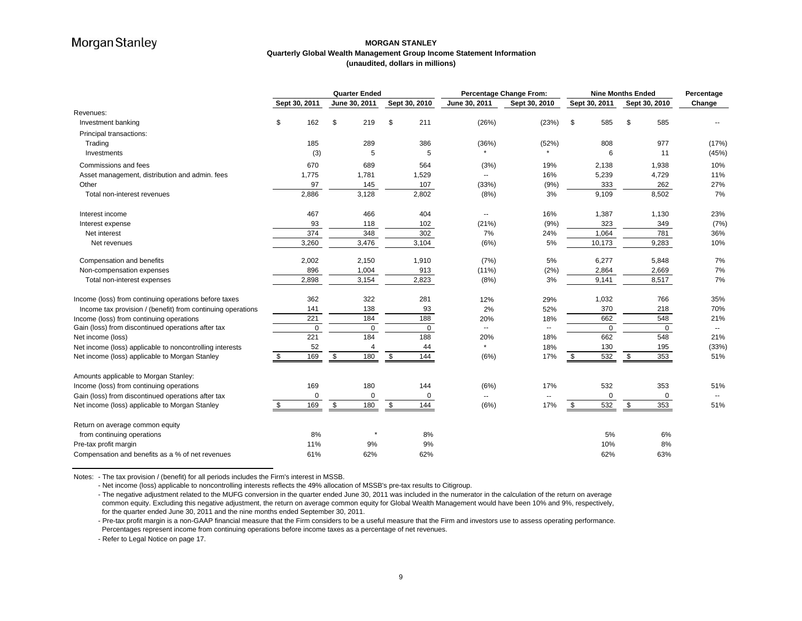### **MORGAN STANLEYQuarterly Global Wealth Management Group Income Statement Information (unaudited, dollars in millions)**

|                                                             | <b>Quarter Ended</b> |               |              | <b>Percentage Change From:</b> | <b>Nine Months Ended</b> |             |                          |               | Percentage |               |              |               |                          |
|-------------------------------------------------------------|----------------------|---------------|--------------|--------------------------------|--------------------------|-------------|--------------------------|---------------|------------|---------------|--------------|---------------|--------------------------|
|                                                             |                      | Sept 30, 2011 |              | June 30, 2011                  | Sept 30, 2010            |             | June 30, 2011            | Sept 30, 2010 |            | Sept 30, 2011 |              | Sept 30, 2010 | Change                   |
| Revenues:                                                   |                      |               |              |                                |                          |             |                          |               |            |               |              |               |                          |
| Investment banking                                          | \$                   | 162           | \$           | 219                            | \$                       | 211         | (26%)                    | (23%)         | \$         | 585           | \$           | 585           |                          |
| Principal transactions:                                     |                      |               |              |                                |                          |             |                          |               |            |               |              |               |                          |
| Trading                                                     |                      | 185           |              | 289                            |                          | 386         | (36%)                    | (52%)         |            | 808           |              | 977           | (17%)                    |
| Investments                                                 |                      | (3)           |              | 5                              |                          | 5           |                          |               |            | 6             |              | 11            | (45%)                    |
| Commissions and fees                                        |                      | 670           |              | 689                            |                          | 564         | (3%)                     | 19%           |            | 2,138         |              | 1,938         | 10%                      |
| Asset management, distribution and admin. fees              |                      | 1,775         |              | 1,781                          |                          | 1,529       | $\overline{\phantom{a}}$ | 16%           |            | 5,239         |              | 4,729         | 11%                      |
| Other                                                       |                      | 97            |              | 145                            |                          | 107         | (33%)                    | (9% )         |            | 333           |              | 262           | 27%                      |
| Total non-interest revenues                                 |                      | 2,886         |              | 3,128                          |                          | 2,802       | (8%)                     | 3%            |            | 9,109         |              | 8,502         | 7%                       |
| Interest income                                             |                      | 467           |              | 466                            |                          | 404         | --                       | 16%           |            | 1,387         |              | 1,130         | 23%                      |
| Interest expense                                            |                      | 93            |              | 118                            |                          | 102         | (21%)                    | (9% )         |            | 323           |              | 349           | (7%)                     |
| Net interest                                                |                      | 374           |              | 348                            |                          | 302         | 7%                       | 24%           |            | 1,064         |              | 781           | 36%                      |
| Net revenues                                                |                      | 3,260         |              | 3,476                          |                          | 3,104       | (6%)                     | 5%            |            | 10,173        |              | 9,283         | 10%                      |
| Compensation and benefits                                   |                      | 2,002         |              | 2,150                          |                          | 1,910       | (7%)                     | 5%            |            | 6,277         |              | 5,848         | 7%                       |
| Non-compensation expenses                                   |                      | 896           |              | 1,004                          |                          | 913         | $(11\%)$                 | (2%)          |            | 2,864         |              | 2,669         | 7%                       |
| Total non-interest expenses                                 |                      | 2,898         |              | 3,154                          |                          | 2,823       | (8%)                     | 3%            |            | 9,141         |              | 8,517         | 7%                       |
| Income (loss) from continuing operations before taxes       |                      | 362           |              | 322                            |                          | 281         | 12%                      | 29%           |            | 1,032         |              | 766           | 35%                      |
| Income tax provision / (benefit) from continuing operations |                      | 141           |              | 138                            |                          | 93          | 2%                       | 52%           |            | 370           |              | 218           | 70%                      |
| Income (loss) from continuing operations                    |                      | 221           |              | 184                            |                          | 188         | 20%                      | 18%           |            | 662           |              | 548           | 21%                      |
| Gain (loss) from discontinued operations after tax          |                      | $\mathbf 0$   |              | $\mathbf 0$                    |                          | $\mathbf 0$ | $\overline{a}$           | $\sim$        |            | $\mathbf 0$   |              | $\mathbf 0$   | $\overline{\phantom{a}}$ |
| Net income (loss)                                           |                      | 221           |              | 184                            |                          | 188         | 20%<br>$\star$           | 18%           |            | 662           |              | 548           | 21%                      |
| Net income (loss) applicable to noncontrolling interests    |                      | 52            |              | $\overline{4}$                 |                          | 44          |                          | 18%           |            | 130           |              | 195           | (33%)                    |
| Net income (loss) applicable to Morgan Stanley              | \$                   | 169           | $\mathbb{S}$ | 180                            | $\mathfrak s$            | 144         | (6%)                     | 17%           | \$         | 532           | $\mathbb{S}$ | 353           | 51%                      |
| Amounts applicable to Morgan Stanley:                       |                      |               |              |                                |                          |             |                          |               |            |               |              |               |                          |
| Income (loss) from continuing operations                    |                      | 169           |              | 180                            |                          | 144         | (6%)                     | 17%           |            | 532           |              | 353           | 51%                      |
| Gain (loss) from discontinued operations after tax          |                      | 0             |              | $\mathbf 0$                    |                          | 0           | $\overline{a}$           |               |            | 0             |              | 0             |                          |
| Net income (loss) applicable to Morgan Stanley              | \$                   | 169           | \$           | 180                            | \$                       | 144         | (6%)                     | 17%           | \$         | 532           | \$           | 353           | 51%                      |
| Return on average common equity                             |                      |               |              |                                |                          |             |                          |               |            |               |              |               |                          |
| from continuing operations                                  |                      | 8%            |              | $\star$                        |                          | 8%          |                          |               |            | 5%            |              | 6%            |                          |
| Pre-tax profit margin                                       |                      | 11%           |              | 9%                             |                          | 9%          |                          |               |            | 10%           |              | 8%            |                          |
| Compensation and benefits as a % of net revenues            |                      | 61%           |              | 62%                            |                          | 62%         |                          |               |            | 62%           |              | 63%           |                          |

Notes: - The tax provision / (benefit) for all periods includes the Firm's interest in MSSB.

- Net income (loss) applicable to noncontrolling interests reflects the 49% allocation of MSSB's pre-tax results to Citigroup.

- The negative adjustment related to the MUFG conversion in the quarter ended June 30, 2011 was included in the numerator in the calculation of the return on average common equity. Excluding this negative adjustment, the return on average common equity for Global Wealth Management would have been 10% and 9%, respectively, for the quarter ended June 30, 2011 and the nine months ended September 30, 2011.

- Pre-tax profit margin is a non-GAAP financial measure that the Firm considers to be a useful measure that the Firm and investors use to assess operating performance. Percentages represent income from continuing operations before income taxes as a percentage of net revenues.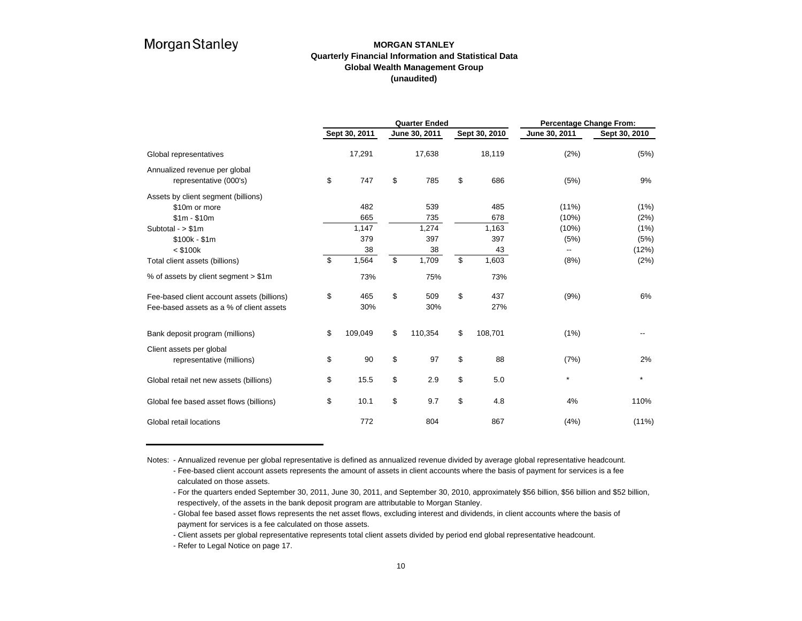### **MORGAN STANLEYQuarterly Financial Information and Statistical Data Global Wealth Management Group (unaudited)**

|                                                                                        |                  | <b>Quarter Ended</b> |    | <b>Percentage Change From:</b> |               |               |  |  |
|----------------------------------------------------------------------------------------|------------------|----------------------|----|--------------------------------|---------------|---------------|--|--|
|                                                                                        | Sept 30, 2011    | June 30, 2011        |    | Sept 30, 2010                  | June 30, 2011 | Sept 30, 2010 |  |  |
| Global representatives                                                                 | 17,291           | 17,638               |    | 18,119                         | (2%)          | (5%)          |  |  |
| Annualized revenue per global<br>representative (000's)                                | \$<br>747        | \$<br>785            | \$ | 686                            | (5%)          | 9%            |  |  |
| Assets by client segment (billions)<br>\$10m or more                                   | 482              | 539                  |    | 485                            | $(11\%)$      | (1%)          |  |  |
| $$1m - $10m$                                                                           | 665              | 735                  |    | 678                            | (10%)         | (2%)          |  |  |
| Subtotal - $> $1m$                                                                     | 1,147            | 1,274                |    | 1,163                          | (10%)         | (1%)          |  |  |
| $$100k - $1m$                                                                          | 379              | 397                  |    | 397                            | (5%)          | (5%)          |  |  |
| $<$ \$100 $k$                                                                          | 38               | 38                   |    | 43                             | --            | (12%)         |  |  |
| Total client assets (billions)                                                         | \$<br>1,564      | \$<br>1,709          | \$ | 1,603                          | (8%)          | (2%)          |  |  |
| % of assets by client segment > \$1m                                                   | 73%              | 75%                  |    | 73%                            |               |               |  |  |
| Fee-based client account assets (billions)<br>Fee-based assets as a % of client assets | \$<br>465<br>30% | \$<br>509<br>30%     | \$ | 437<br>27%                     | (9%)          | 6%            |  |  |
| Bank deposit program (millions)                                                        | \$<br>109,049    | \$<br>110,354        | \$ | 108,701                        | (1%)          |               |  |  |
| Client assets per global<br>representative (millions)                                  | \$<br>90         | \$<br>97             | \$ | 88                             | (7%)          | 2%            |  |  |
| Global retail net new assets (billions)                                                | \$<br>15.5       | \$<br>2.9            | \$ | 5.0                            | $\star$       | $\star$       |  |  |
| Global fee based asset flows (billions)                                                | \$<br>10.1       | \$<br>9.7            | \$ | 4.8                            | 4%            | 110%          |  |  |
| Global retail locations                                                                | 772              | 804                  |    | 867                            | (4% )         | $(11\%)$      |  |  |

Notes: - Annualized revenue per global representative is defined as annualized revenue divided by average global representative headcount. - Fee-based client account assets represents the amount of assets in client accounts where the basis of payment for services is a fee calculated on those assets.

- For the quarters ended September 30, 2011, June 30, 2011, and September 30, 2010, approximately \$56 billion, \$56 billion and \$52 billion, respectively, of the assets in the bank deposit program are attributable to Morgan Stanley.

- Client assets per global representative represents total client assets divided by period end global representative headcount.

<sup>-</sup> Global fee based asset flows represents the net asset flows, excluding interest and dividends, in client accounts where the basis of payment for services is a fee calculated on those assets.

<sup>-</sup> Refer to Legal Notice on page 17.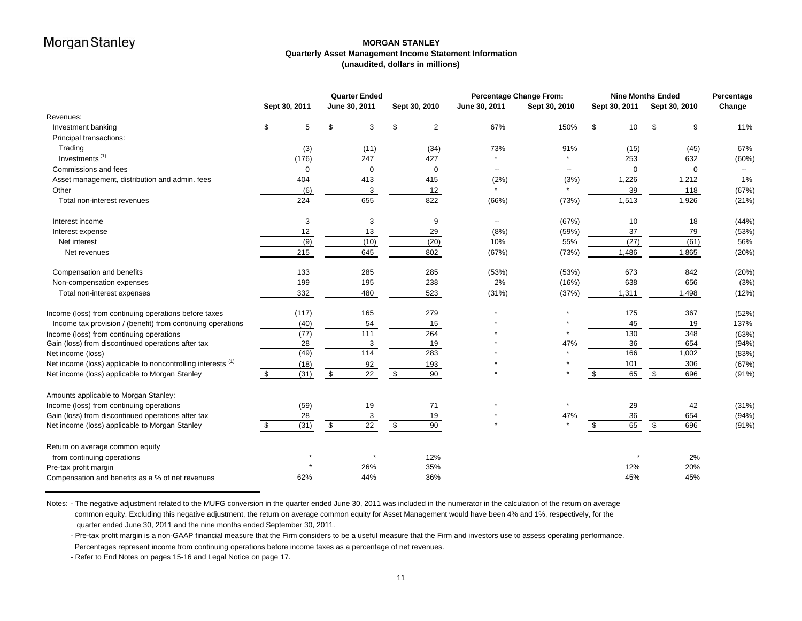### **MORGAN STANLEY Quarterly Asset Management Income Statement Information (unaudited, dollars in millions)**

|                                                              | <b>Quarter Ended</b> |               |            |               | <b>Percentage Change From:</b> | <b>Nine Months Ended</b> | Percentage    |               |               |        |
|--------------------------------------------------------------|----------------------|---------------|------------|---------------|--------------------------------|--------------------------|---------------|---------------|---------------|--------|
|                                                              |                      | Sept 30, 2011 |            | June 30, 2011 | Sept 30, 2010                  | June 30, 2011            | Sept 30, 2010 | Sept 30, 2011 | Sept 30, 2010 | Change |
| Revenues:                                                    |                      |               |            |               |                                |                          |               |               |               |        |
| Investment banking                                           | \$                   | 5             | \$         | 3             | $\overline{2}$                 | 67%                      | 150%          | \$<br>10      | 9<br>\$.      | 11%    |
| Principal transactions:                                      |                      |               |            |               |                                |                          |               |               |               |        |
| Trading                                                      |                      | (3)           |            | (11)          | (34)                           | 73%                      | 91%           | (15)          | (45)          | 67%    |
| Investments <sup>(1)</sup>                                   |                      | (176)         |            | 247           | 427                            |                          |               | 253           | 632           | (60%)  |
| Commissions and fees                                         |                      | 0             |            | $\mathbf 0$   | $\mathbf 0$                    | --                       |               | $\Omega$      | $\mathbf 0$   |        |
| Asset management, distribution and admin. fees               |                      | 404           |            | 413           | 415                            | (2%)                     | (3%)          | 1,226         | 1,212         | 1%     |
| Other                                                        |                      | (6)           |            | 3             | 12                             | $\star$                  |               | 39            | 118           | (67%)  |
| Total non-interest revenues                                  |                      | 224           |            | 655           | 822                            | (66%)                    | (73%)         | 1,513         | 1,926         | (21%)  |
| Interest income                                              |                      | 3             |            | 3             | 9                              | --                       | (67%)         | 10            | 18            | (44%)  |
| Interest expense                                             |                      | 12            |            | 13            | 29                             | (8%)                     | (59%)         | 37            | 79            | (53%)  |
| Net interest                                                 |                      | (9)           |            | (10)          | (20)                           | 10%                      | 55%           | (27)          | (61)          | 56%    |
| Net revenues                                                 |                      | 215           |            | 645           | 802                            | (67%)                    | (73%)         | 1,486         | 1,865         | (20%)  |
| Compensation and benefits                                    |                      | 133           |            | 285           | 285                            | (53%)                    | (53%)         | 673           | 842           | (20%)  |
| Non-compensation expenses                                    |                      | 199           |            | 195           | 238                            | 2%                       | (16%)         | 638           | 656           | (3%)   |
| Total non-interest expenses                                  |                      | 332           |            | 480           | 523                            | (31%)                    | (37%)         | 1,311         | 1,498         | (12%)  |
| Income (loss) from continuing operations before taxes        |                      | (117)         |            | 165           | 279                            | $\star$                  | $\star$       | 175           | 367           | (52%)  |
| Income tax provision / (benefit) from continuing operations  |                      | (40)          |            | 54            | 15                             |                          |               | 45            | 19            | 137%   |
| Income (loss) from continuing operations                     |                      | (77)          |            | 111           | 264                            |                          |               | 130           | 348           | (63%)  |
| Gain (loss) from discontinued operations after tax           |                      | 28            |            | 3             | 19                             |                          | 47%           | 36            | 654           | (94% ) |
| Net income (loss)                                            |                      | (49)          |            | 114           | 283                            |                          |               | 166           | 1,002         | (83%)  |
| Net income (loss) applicable to noncontrolling interests (1) |                      | (18)          |            | 92            | 193                            |                          |               | 101           | 306           | (67%)  |
| Net income (loss) applicable to Morgan Stanley               | \$                   | (31)          | $\sqrt{3}$ | 22            | \$<br>90                       |                          |               | 65<br>\$      | 696<br>- \$   | (91%)  |
| Amounts applicable to Morgan Stanley:                        |                      |               |            |               |                                |                          |               |               |               |        |
| Income (loss) from continuing operations                     |                      | (59)          |            | 19            | 71                             |                          |               | 29            | 42            | (31%)  |
| Gain (loss) from discontinued operations after tax           |                      | 28            |            | 3             | 19                             |                          | 47%           | 36            | 654           | (94%)  |
| Net income (loss) applicable to Morgan Stanley               | \$                   | (31)          | \$         | 22            | \$<br>90                       |                          |               | 65<br>\$      | 696<br>\$     | (91%)  |
| Return on average common equity                              |                      |               |            |               |                                |                          |               |               |               |        |
| from continuing operations                                   |                      |               |            |               | 12%                            |                          |               | $\star$       | 2%            |        |
| Pre-tax profit margin                                        |                      |               |            | 26%           | 35%                            |                          |               | 12%           | 20%           |        |
| Compensation and benefits as a % of net revenues             |                      | 62%           |            | 44%           | 36%                            |                          |               | 45%           | 45%           |        |

Notes: - The negative adjustment related to the MUFG conversion in the quarter ended June 30, 2011 was included in the numerator in the calculation of the return on average common equity. Excluding this negative adjustment, the return on average common equity for Asset Management would have been 4% and 1%, respectively, for the quarter ended June 30, 2011 and the nine months ended September 30, 2011.

- Pre-tax profit margin is a non-GAAP financial measure that the Firm considers to be a useful measure that the Firm and investors use to assess operating performance. Percentages represent income from continuing operations before income taxes as a percentage of net revenues.

- Refer to End Notes on pages 15-16 and Legal Notice on page 17.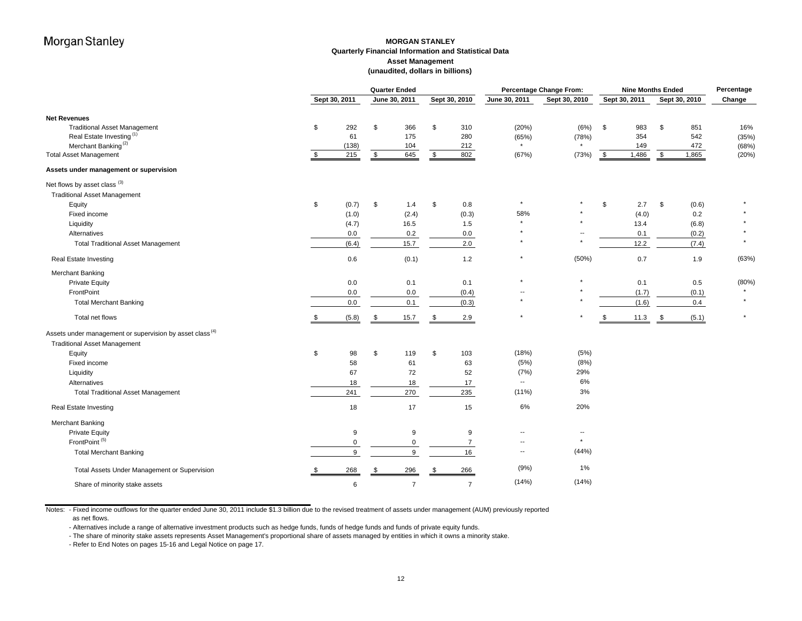### **MORGAN STANLEY Quarterly Financial Information and Statistical Data Asset Management (unaudited, dollars in billions)**

|                                                                      |      | <b>Quarter Ended</b> |    |                | <b>Percentage Change From:</b> | <b>Nine Months Ended</b> |                          |               |               | Percentage |               |       |         |
|----------------------------------------------------------------------|------|----------------------|----|----------------|--------------------------------|--------------------------|--------------------------|---------------|---------------|------------|---------------|-------|---------|
|                                                                      |      | Sept 30, 2011        |    | June 30, 2011  |                                | Sept 30, 2010            | June 30, 2011            | Sept 30, 2010 | Sept 30, 2011 |            | Sept 30, 2010 |       | Change  |
| <b>Net Revenues</b>                                                  |      |                      |    |                |                                |                          |                          |               |               |            |               |       |         |
| <b>Traditional Asset Management</b>                                  | \$   | 292                  | \$ | 366            | \$                             | 310                      | (20%)                    | (6%)          | \$            | 983        | \$            | 851   | 16%     |
| Real Estate Investing <sup>(1)</sup>                                 |      | 61                   |    | 175            |                                | 280                      | (65%)                    | (78%)         |               | 354        |               | 542   | (35%)   |
| Merchant Banking <sup>(2)</sup>                                      |      | (138)                |    | 104            |                                | 212                      | $\star$                  |               |               | 149        |               | 472   | (68%)   |
| <b>Total Asset Management</b>                                        | S.   | 215                  | \$ | 645            | \$                             | 802                      | (67%)                    | (73%)         | \$<br>1,486   |            | - \$          | 1,865 | (20%    |
| Assets under management or supervision                               |      |                      |    |                |                                |                          |                          |               |               |            |               |       |         |
| Net flows by asset class (3)                                         |      |                      |    |                |                                |                          |                          |               |               |            |               |       |         |
| <b>Traditional Asset Management</b>                                  |      |                      |    |                |                                |                          |                          |               |               |            |               |       |         |
| Equity                                                               | \$   | (0.7)                | \$ | 1.4            | \$                             | 0.8                      | $\star$                  |               | \$            | 2.7        | \$            | (0.6) |         |
| Fixed income                                                         |      | (1.0)                |    | (2.4)          |                                | (0.3)                    | 58%                      |               |               | (4.0)      |               | 0.2   |         |
| Liquidity                                                            |      | (4.7)                |    | 16.5           |                                | 1.5                      |                          |               |               | 13.4       |               | (6.8) |         |
| Alternatives                                                         |      | 0.0                  |    | 0.2            |                                | 0.0                      |                          |               |               | 0.1        |               | (0.2) |         |
| <b>Total Traditional Asset Management</b>                            |      | (6.4)                |    | 15.7           |                                | 2.0                      |                          |               | 12.2          |            |               | (7.4) | $\star$ |
| Real Estate Investing                                                |      | 0.6                  |    | (0.1)          |                                | $1.2$                    | $\star$                  | (50%)         |               | 0.7        |               | 1.9   | (63%)   |
| <b>Merchant Banking</b>                                              |      |                      |    |                |                                |                          |                          |               |               |            |               |       |         |
| <b>Private Equity</b>                                                |      | 0.0                  |    | 0.1            |                                | 0.1                      |                          |               |               | 0.1        |               | 0.5   | (80%    |
| FrontPoint                                                           |      | 0.0                  |    | 0.0            |                                | (0.4)                    |                          |               |               | (1.7)      |               | (0.1) |         |
| <b>Total Merchant Banking</b>                                        |      | 0.0                  |    | 0.1            |                                | (0.3)                    |                          |               |               | (1.6)      |               | 0.4   |         |
| Total net flows                                                      | \$   | (5.8)                | \$ | 15.7           |                                | 2.9                      | $\star$                  |               |               | 11.3       | - \$          | (5.1) | $\star$ |
| Assets under management or supervision by asset class <sup>(4)</sup> |      |                      |    |                |                                |                          |                          |               |               |            |               |       |         |
| <b>Traditional Asset Management</b>                                  |      |                      |    |                |                                |                          |                          |               |               |            |               |       |         |
| Equity                                                               | \$   | 98                   | \$ | 119            | \$                             | 103                      | (18%)                    | (5%)          |               |            |               |       |         |
| Fixed income                                                         |      | 58                   |    | 61             |                                | 63                       | (5%)                     | (8%)          |               |            |               |       |         |
| Liquidity                                                            |      | 67                   |    | 72             |                                | 52                       | (7%)                     | 29%           |               |            |               |       |         |
| Alternatives                                                         |      | 18                   |    | 18             |                                | 17                       | $\overline{\phantom{a}}$ | 6%            |               |            |               |       |         |
| <b>Total Traditional Asset Management</b>                            |      | 241                  |    | 270            |                                | 235                      | $(11\%)$                 | 3%            |               |            |               |       |         |
| Real Estate Investing                                                |      | 18                   |    | 17             |                                | 15                       | 6%                       | 20%           |               |            |               |       |         |
| Merchant Banking                                                     |      |                      |    |                |                                |                          |                          |               |               |            |               |       |         |
| <b>Private Equity</b>                                                |      | 9                    |    | 9              |                                | 9                        |                          | $\sim$        |               |            |               |       |         |
| FrontPoint <sup>(5)</sup>                                            |      | $\Omega$             |    | 0              |                                | 7                        | $\overline{\phantom{a}}$ | $\star$       |               |            |               |       |         |
| <b>Total Merchant Banking</b>                                        |      | 9                    |    | 9              |                                | 16                       | $\overline{\phantom{a}}$ | (44%)         |               |            |               |       |         |
| Total Assets Under Management or Supervision                         | - \$ | 268                  |    | 296            | . ጽ                            | 266                      | (9%)                     | 1%            |               |            |               |       |         |
| Share of minority stake assets                                       |      | 6                    |    | $\overline{7}$ |                                | $\overline{7}$           | (14%)                    | (14%)         |               |            |               |       |         |

Notes: - Fixed income outflows for the quarter ended June 30, 2011 include \$1.3 billion due to the revised treatment of assets under management (AUM) previously reported as net flows.

- Alternatives include a range of alternative investment products such as hedge funds, funds of hedge funds and funds of private equity funds.

- The share of minority stake assets represents Asset Management's proportional share of assets managed by entities in which it owns a minority stake.

- Refer to End Notes on pages 15-16 and Legal Notice on page 17.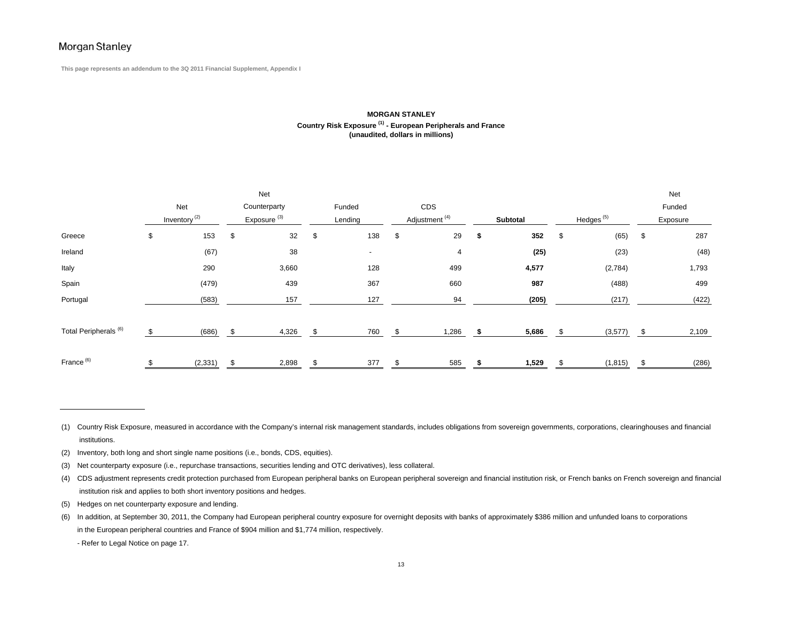**This page represents an addendum to the 3Q 2011 Financial Supplement, Appendix I**

#### **MORGAN STANLEY Country Risk Exposure (1) - European Peripherals and France (unaudited, dollars in millions)**

|                                  | Net |                          |                         |              |         |        |                           |       |          |       |                       |          |          | Net   |
|----------------------------------|-----|--------------------------|-------------------------|--------------|---------|--------|---------------------------|-------|----------|-------|-----------------------|----------|----------|-------|
|                                  | Net |                          |                         | Counterparty |         | Funded |                           | CDS   |          |       |                       |          | Funded   |       |
|                                  |     | Inventory <sup>(2)</sup> | Exposure <sup>(3)</sup> |              | Lending |        | Adjustment <sup>(4)</sup> |       | Subtotal |       | Hedges <sup>(5)</sup> |          | Exposure |       |
| Greece                           | \$  | 153                      | \$                      | 32           | \$      | 138    | \$                        | 29    | \$       | 352   | \$                    | (65)     | \$       | 287   |
| Ireland                          |     | (67)                     |                         | 38           |         | $\sim$ |                           | 4     |          | (25)  |                       | (23)     |          | (48)  |
| Italy                            |     | 290                      |                         | 3,660        |         | 128    |                           | 499   |          | 4,577 |                       | (2,784)  |          | 1,793 |
| Spain                            |     | (479)                    |                         | 439          |         | 367    |                           | 660   |          | 987   |                       | (488)    |          | 499   |
| Portugal                         |     | (583)                    |                         | 157          |         | 127    |                           | 94    |          | (205) |                       | (217)    |          | (422) |
|                                  |     |                          |                         |              |         |        |                           |       |          |       |                       |          |          |       |
| Total Peripherals <sup>(6)</sup> | \$  | (686)                    | \$                      | 4,326        | \$.     | 760    |                           | 1,286 | - 56     | 5,686 |                       | (3,577)  |          | 2,109 |
|                                  |     |                          |                         |              |         |        |                           |       |          |       |                       |          |          |       |
| France <sup>(6)</sup>            |     | (2, 331)                 |                         | 2,898        |         | 377    |                           | 585   |          | 1,529 |                       | (1, 815) |          | (286) |

(5) Hedges on net counterparty exposure and lending.

<sup>(1)</sup> Country Risk Exposure, measured in accordance with the Company's internal risk management standards, includes obligations from sovereign governments, corporations, clearinghouses and financial institutions.

<sup>(2)</sup> Inventory, both long and short single name positions (i.e., bonds, CDS, equities).

<sup>(3)</sup> Net counterparty exposure (i.e., repurchase transactions, securities lending and OTC derivatives), less collateral.

<sup>(4)</sup> CDS adjustment represents credit protection purchased from European peripheral banks on European peripheral sovereign and financial institution risk, or French banks on French sovereign and financial institution risk and applies to both short inventory positions and hedges.

<sup>(6)</sup> In addition, at September 30, 2011, the Company had European peripheral country exposure for overnight deposits with banks of approximately \$386 million and unfunded loans to corporations in the European peripheral countries and France of \$904 million and \$1,774 million, respectively.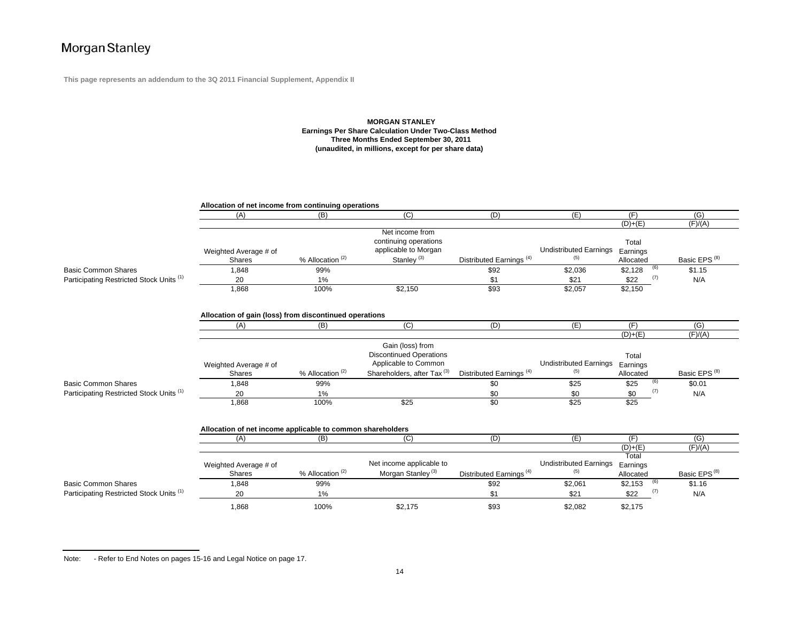**This page represents an addendum to the 3Q 2011 Financial Supplement, Appendix II**

#### **MORGAN STANLEY Earnings Per Share Calculation Under Two-Class Method Three Months Ended September 30, 2011 (unaudited, in millions, except for per share data)**

|                                                     | Allocation of net income from continuing operations           |                             |                                                                                                                      |                                     |                                      |                                |     |                          |  |  |  |  |
|-----------------------------------------------------|---------------------------------------------------------------|-----------------------------|----------------------------------------------------------------------------------------------------------------------|-------------------------------------|--------------------------------------|--------------------------------|-----|--------------------------|--|--|--|--|
|                                                     | (A)                                                           | (B)                         | (C)                                                                                                                  | (D)                                 | (E)                                  | (F)                            |     | $\overline{(G)}$         |  |  |  |  |
|                                                     |                                                               |                             |                                                                                                                      |                                     |                                      | $(D)+(E)$                      |     | (F)/(A)                  |  |  |  |  |
|                                                     | Weighted Average # of<br>Shares                               | % Allocation <sup>(2)</sup> | Net income from<br>continuing operations<br>applicable to Morgan<br>Stanley <sup>(3)</sup>                           | Distributed Earnings <sup>(4)</sup> | <b>Undistributed Earnings</b><br>(5) | Total<br>Earnings<br>Allocated |     | Basic EPS <sup>(8)</sup> |  |  |  |  |
| <b>Basic Common Shares</b>                          | 1,848                                                         | 99%                         |                                                                                                                      | \$92                                | \$2,036                              | \$2,128                        | (6) | \$1.15                   |  |  |  |  |
| Participating Restricted Stock Units <sup>(1)</sup> | 20                                                            | 1%                          |                                                                                                                      | \$1                                 | \$21                                 | \$22                           | (7) | N/A                      |  |  |  |  |
|                                                     | 1,868                                                         | 100%                        | \$2,150                                                                                                              | \$93                                | \$2,057                              | \$2,150                        |     |                          |  |  |  |  |
|                                                     | Allocation of gain (loss) from discontinued operations<br>(A) | (B)                         | (C)                                                                                                                  | (D)                                 | (E)                                  | (F)                            |     | (G)                      |  |  |  |  |
|                                                     |                                                               |                             |                                                                                                                      |                                     |                                      | $(D)+(E)$                      |     | (F)/(A)                  |  |  |  |  |
|                                                     | Weighted Average # of<br><b>Shares</b>                        | % Allocation <sup>(2)</sup> | Gain (loss) from<br><b>Discontinued Operations</b><br>Applicable to Common<br>Shareholders, after Tax <sup>(3)</sup> | Distributed Earnings <sup>(4)</sup> | <b>Undistributed Earnings</b><br>(5) | Total<br>Earnings<br>Allocated |     | Basic EPS <sup>(8)</sup> |  |  |  |  |
| <b>Basic Common Shares</b>                          | 1,848                                                         | 99%                         |                                                                                                                      | \$0                                 | \$25                                 | \$25                           | (6) | \$0.01                   |  |  |  |  |
| Participating Restricted Stock Units (1)            | 20                                                            | 1%                          |                                                                                                                      | \$0                                 | \$0                                  | \$0                            | (7) | N/A                      |  |  |  |  |
|                                                     | 1,868                                                         | 100%                        | \$25                                                                                                                 | \$0                                 | \$25                                 | $\overline{$25}$               |     |                          |  |  |  |  |
|                                                     | Allocation of net income applicable to common shareholders    |                             |                                                                                                                      |                                     |                                      |                                |     |                          |  |  |  |  |
|                                                     | (A)                                                           | (B)                         | $\overline{C}$                                                                                                       | (D)                                 | (E)                                  | (F)                            |     | $\overline{(G)}$         |  |  |  |  |
|                                                     |                                                               |                             |                                                                                                                      |                                     |                                      | $(D)+(E)$                      |     | (F)/(A)                  |  |  |  |  |
|                                                     | Weighted Average # of<br><b>Shares</b>                        | % Allocation <sup>(2)</sup> | Net income applicable to<br>Morgan Stanley <sup>(3)</sup>                                                            | Distributed Earnings <sup>(4)</sup> | <b>Undistributed Earnings</b><br>(5) | Total<br>Earnings<br>Allocated |     | Basic EPS <sup>(8)</sup> |  |  |  |  |
| Basic Common Shares                                 | 1,848                                                         | 99%                         |                                                                                                                      | \$92                                | \$2,061                              | \$2,153                        | (6) | \$1.16                   |  |  |  |  |
| Participating Restricted Stock Units (1)            | 20                                                            | 1%                          |                                                                                                                      | \$1                                 | \$21                                 | \$22                           | (7) | N/A                      |  |  |  |  |
|                                                     | 1,868                                                         | 100%                        | \$2,175                                                                                                              | \$93                                | \$2,082                              | \$2,175                        |     |                          |  |  |  |  |

Note: - Refer to End Notes on pages 15-16 and Legal Notice on page 17.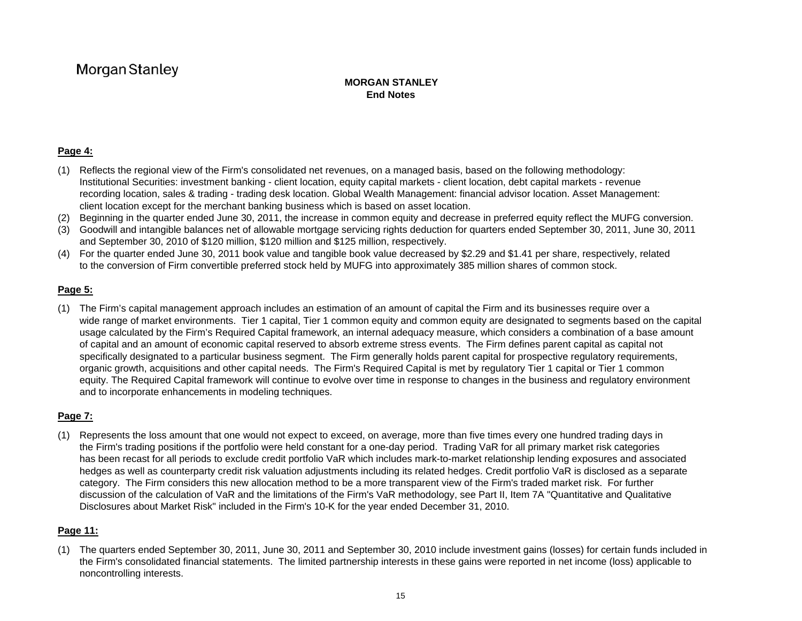### **MORGAN STANLEYEnd Notes**

### **Page 4:**

- (1) Reflects the regional view of the Firm's consolidated net revenues, on a managed basis, based on the following methodology: Institutional Securities: investment banking - client location, equity capital markets - client location, debt capital markets - revenue recording location, sales & trading - trading desk location. Global Wealth Management: financial advisor location. Asset Management: client location except for the merchant banking business which is based on asset location.
- (2) Beginning in the quarter ended June 30, 2011, the increase in common equity and decrease in preferred equity reflect the MUFG conversion.
- (3) Goodwill and intangible balances net of allowable mortgage servicing rights deduction for quarters ended September 30, 2011, June 30, 2011 and September 30, 2010 of \$120 million, \$120 million and \$125 million, respectively.
- (4) For the quarter ended June 30, 2011 book value and tangible book value decreased by \$2.29 and \$1.41 per share, respectively, related to the conversion of Firm convertible preferred stock held by MUFG into approximately 385 million shares of common stock.

### **Page 5:**

(1) The Firm's capital management approach includes an estimation of an amount of capital the Firm and its businesses require over a wide range of market environments. Tier 1 capital, Tier 1 common equity and common equity are designated to segments based on the capital usage calculated by the Firm's Required Capital framework, an internal adequacy measure, which considers a combination of a base amount of capital and an amount of economic capital reserved to absorb extreme stress events. The Firm defines parent capital as capital not specifically designated to a particular business segment. The Firm generally holds parent capital for prospective regulatory requirements, organic growth, acquisitions and other capital needs. The Firm's Required Capital is met by regulatory Tier 1 capital or Tier 1 common equity. The Required Capital framework will continue to evolve over time in response to changes in the business and regulatory environment and to incorporate enhancements in modeling techniques.

### **Page 7:**

(1) Represents the loss amount that one would not expect to exceed, on average, more than five times every one hundred trading days in the Firm's trading positions if the portfolio were held constant for a one-day period. Trading VaR for all primary market risk categories has been recast for all periods to exclude credit portfolio VaR which includes mark-to-market relationship lending exposures and associated hedges as well as counterparty credit risk valuation adjustments including its related hedges. Credit portfolio VaR is disclosed as a separate category. The Firm considers this new allocation method to be a more transparent view of the Firm's traded market risk. For further discussion of the calculation of VaR and the limitations of the Firm's VaR methodology, see Part II, Item 7A "Quantitative and Qualitative Disclosures about Market Risk" included in the Firm's 10-K for the year ended December 31, 2010.

## **Page 11:**

(1) The quarters ended September 30, 2011, June 30, 2011 and September 30, 2010 include investment gains (losses) for certain funds included in the Firm's consolidated financial statements. The limited partnership interests in these gains were reported in net income (loss) applicable to noncontrolling interests.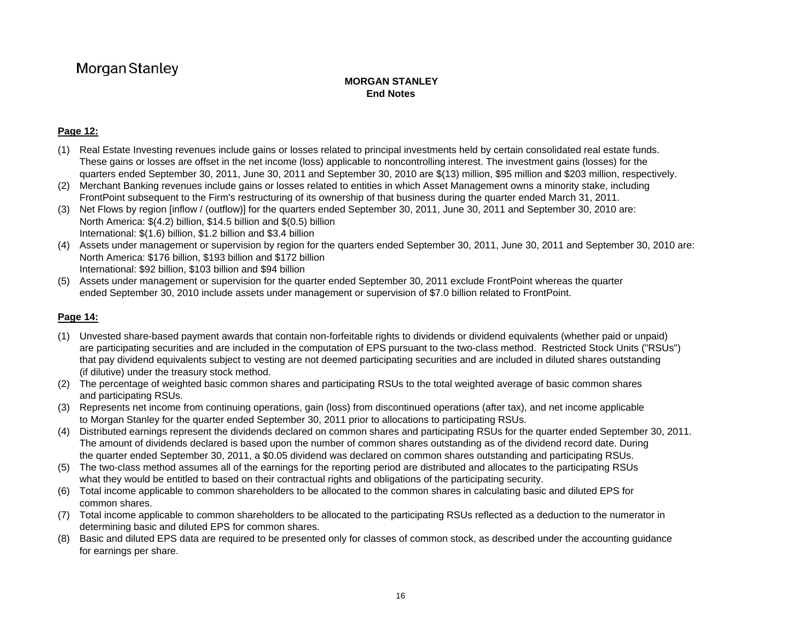### **MORGAN STANLEYEnd Notes**

## **Page 12:**

- (1) Real Estate Investing revenues include gains or losses related to principal investments held by certain consolidated real estate funds. These gains or losses are offset in the net income (loss) applicable to noncontrolling interest. The investment gains (losses) for the quarters ended September 30, 2011, June 30, 2011 and September 30, 2010 are \$(13) million, \$95 million and \$203 million, respectively.
- (2) Merchant Banking revenues include gains or losses related to entities in which Asset Management owns a minority stake, including FrontPoint subsequent to the Firm's restructuring of its ownership of that business during the quarter ended March 31, 2011.
- (3) Net Flows by region [inflow / (outflow)] for the quarters ended September 30, 2011, June 30, 2011 and September 30, 2010 are: North America: \$(4.2) billion, \$14.5 billion and \$(0.5) billion International: \$(1.6) billion, \$1.2 billion and \$3.4 billion
- (4) Assets under management or supervision by region for the quarters ended September 30, 2011, June 30, 2011 and September 30, 2010 are: North America: \$176 billion, \$193 billion and \$172 billion International: \$92 billion, \$103 billion and \$94 billion
- (5) Assets under management or supervision for the quarter ended September 30, 2011 exclude FrontPoint whereas the quarter ended September 30, 2010 include assets under management or supervision of \$7.0 billion related to FrontPoint.

### **Page 14:**

- (1) Unvested share-based payment awards that contain non-forfeitable rights to dividends or dividend equivalents (whether paid or unpaid) are participating securities and are included in the computation of EPS pursuant to the two-class method. Restricted Stock Units ("RSUs") that pay dividend equivalents subject to vesting are not deemed participating securities and are included in diluted shares outstanding (if dilutive) under the treasury stock method.
- (2) The percentage of weighted basic common shares and participating RSUs to the total weighted average of basic common shares and participating RSUs.
- (3) Represents net income from continuing operations, gain (loss) from discontinued operations (after tax), and net income applicable to Morgan Stanley for the quarter ended September 30, 2011 prior to allocations to participating RSUs.
- (4) Distributed earnings represent the dividends declared on common shares and participating RSUs for the quarter ended September 30, 2011. The amount of dividends declared is based upon the number of common shares outstanding as of the dividend record date. During the quarter ended September 30, 2011, a \$0.05 dividend was declared on common shares outstanding and participating RSUs.
- (5) The two-class method assumes all of the earnings for the reporting period are distributed and allocates to the participating RSUs what they would be entitled to based on their contractual rights and obligations of the participating security.
- (6) Total income applicable to common shareholders to be allocated to the common shares in calculating basic and diluted EPS for common shares.
- (7) Total income applicable to common shareholders to be allocated to the participating RSUs reflected as a deduction to the numerator in determining basic and diluted EPS for common shares.
- (8) Basic and diluted EPS data are required to be presented only for classes of common stock, as described under the accounting guidance for earnings per share.